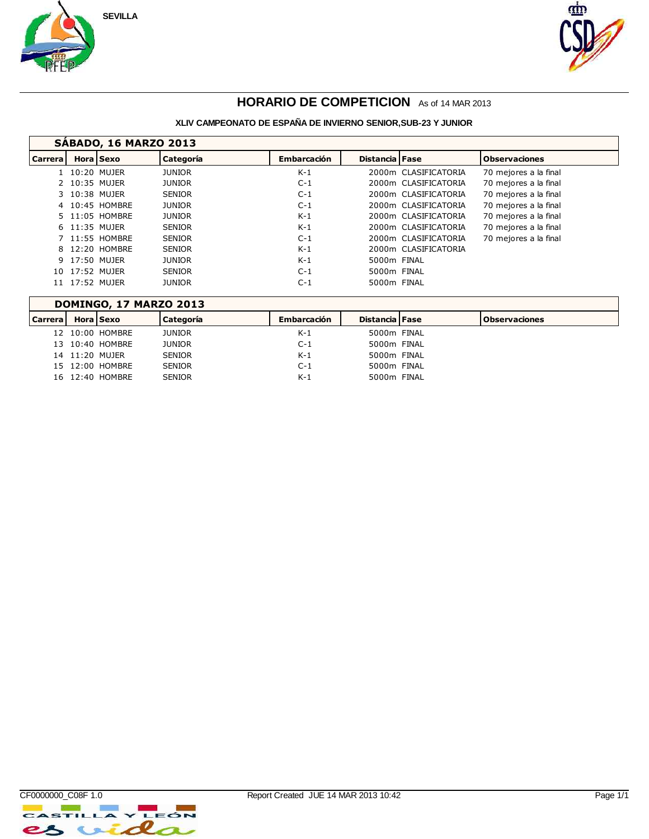



### **HORARIO DE COMPETICION** As of 14 MAR 2013

#### **XLIV CAMPEONATO DE ESPAÑA DE INVIERNO SENIOR,SUB-23 Y JUNIOR**

|                | <b>SABADO, 16 MARZO 2013</b> |                |               |                    |                       |                      |                       |  |  |  |  |  |
|----------------|------------------------------|----------------|---------------|--------------------|-----------------------|----------------------|-----------------------|--|--|--|--|--|
| <b>Carrera</b> |                              | Hora Sexo      | Categoría     | <b>Embarcación</b> | <b>Distancia</b> Fase |                      | <b>Observaciones</b>  |  |  |  |  |  |
|                |                              | 1 10:20 MUJER  | JUNIOR        | $K-1$              |                       | 2000m CLASIFICATORIA | 70 mejores a la final |  |  |  |  |  |
|                |                              | 2 10:35 MUJER  | <b>JUNIOR</b> | $C-1$              |                       | 2000m CLASIFICATORIA | 70 mejores a la final |  |  |  |  |  |
|                |                              | 3 10:38 MUJER  | <b>SENIOR</b> | $C-1$              |                       | 2000m CLASIFICATORIA | 70 mejores a la final |  |  |  |  |  |
|                |                              | 4 10:45 HOMBRE | <b>JUNIOR</b> | $C-1$              |                       | 2000m CLASIFICATORIA | 70 mejores a la final |  |  |  |  |  |
|                |                              | 5 11:05 HOMBRE | <b>JUNIOR</b> | $K-1$              |                       | 2000m CLASIFICATORIA | 70 mejores a la final |  |  |  |  |  |
|                |                              | 6 11:35 MUJER  | <b>SENIOR</b> | $K-1$              |                       | 2000m CLASIFICATORIA | 70 mejores a la final |  |  |  |  |  |
|                |                              | 7 11:55 HOMBRE | <b>SENIOR</b> | $C-1$              |                       | 2000m CLASIFICATORIA | 70 mejores a la final |  |  |  |  |  |
|                |                              | 8 12:20 HOMBRE | <b>SENIOR</b> | $K-1$              |                       | 2000m CLASIFICATORIA |                       |  |  |  |  |  |
|                |                              | 9 17:50 MUJER  | <b>JUNIOR</b> | $K-1$              | 5000m FINAL           |                      |                       |  |  |  |  |  |
|                |                              | 10 17:52 MUJER | <b>SENIOR</b> | $C-1$              | 5000m FINAL           |                      |                       |  |  |  |  |  |
|                |                              | 11 17:52 MUJER | <b>JUNIOR</b> | $C-1$              | 5000m FINAL           |                      |                       |  |  |  |  |  |

## **DOMINGO, 17 MARZO 2013**

| <b>Carrera</b> | <b>Hora</b> Sexo |                 | Categoría     | <b>Embarcación</b> | <b>Distancia   Fase</b> | l Observaciones |
|----------------|------------------|-----------------|---------------|--------------------|-------------------------|-----------------|
|                |                  | 12 10:00 HOMBRE | <b>JUNIOR</b> | $K-1$              | 5000m FINAL             |                 |
|                |                  | 13 10:40 HOMBRE | <b>JUNIOR</b> | C-1                | 5000m FINAL             |                 |
|                | 14 11:20 MUJER   |                 | <b>SENIOR</b> | $K-1$              | 5000m FINAL             |                 |
|                |                  | 15 12:00 HOMBRE | <b>SENIOR</b> | $C-1$              | 5000m FINAL             |                 |
|                |                  | 16 12:40 HOMBRE | <b>SENIOR</b> | $K-1$              | 5000m FINAL             |                 |

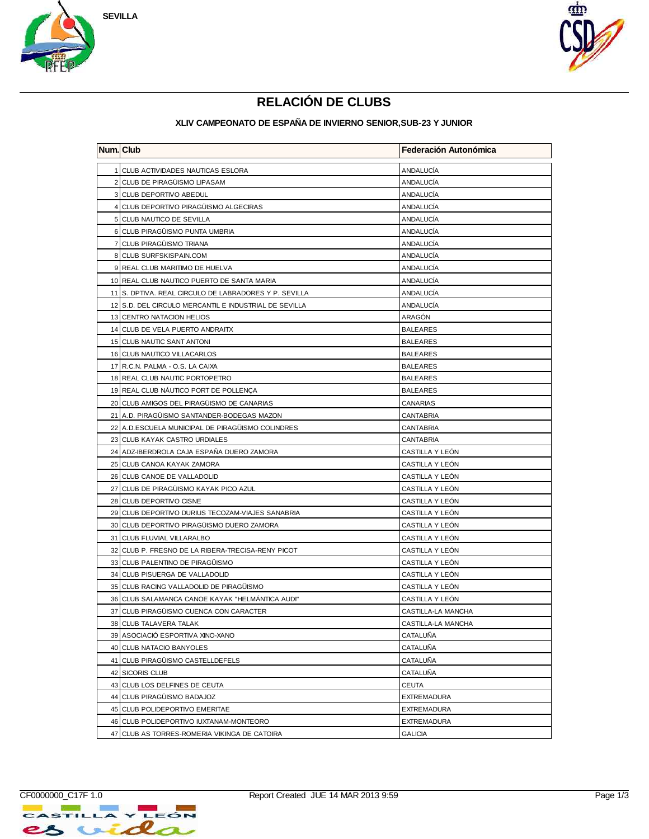



# **RELACIÓN DE CLUBS**

| <b>Num.</b> Club |                                                       | Federación Autonómica |
|------------------|-------------------------------------------------------|-----------------------|
|                  | 1 CLUB ACTIVIDADES NAUTICAS ESLORA                    | ANDALUCIA             |
|                  | 2 CLUB DE PIRAGÜISMO LIPASAM                          | <b>ANDALUCIA</b>      |
|                  | 3 CLUB DEPORTIVO ABEDUL                               | ANDALUCIA             |
|                  | 4 CLUB DEPORTIVO PIRAGÜISMO ALGECIRAS                 | ANDALUCIA             |
|                  | 5 CLUB NAUTICO DE SEVILLA                             | <b>ANDALUCIA</b>      |
|                  | 6 CLUB PIRAGÜISMO PUNTA UMBRIA                        | <b>ANDALUCIA</b>      |
|                  | 7 CLUB PIRAGÜISMO TRIANA                              | ANDALUCIA             |
|                  | 8 CLUB SURFSKISPAIN.COM                               | ANDALUCÍA             |
|                  | 9 REAL CLUB MARITIMO DE HUELVA                        | ANDALUCÍA             |
|                  | 10 REAL CLUB NAUTICO PUERTO DE SANTA MARIA            | ANDALUCÍA             |
|                  | 11 S. DPTIVA. REAL CIRCULO DE LABRADORES Y P. SEVILLA | ANDALUCÍA             |
|                  | 12 S.D. DEL CIRCULO MERCANTIL E INDUSTRIAL DE SEVILLA | ANDALUCIA             |
|                  | 13 CENTRO NATACION HELIOS                             | ARAGÓN                |
|                  | 14 CLUB DE VELA PUERTO ANDRAITX                       | <b>BALEARES</b>       |
|                  | 15 CLUB NAUTIC SANT ANTONI                            | <b>BALEARES</b>       |
|                  | 16 CLUB NAUTICO VILLACARLOS                           | <b>BALEARES</b>       |
|                  | 17 R.C.N. PALMA - O.S. LA CAIXA                       | <b>BALEARES</b>       |
|                  | 18 REAL CLUB NAUTIC PORTOPETRO                        | <b>BALEARES</b>       |
|                  | 19 REAL CLUB NÁUTICO PORT DE POLLENÇA                 | <b>BALEARES</b>       |
|                  | 20 CLUB AMIGOS DEL PIRAGÜISMO DE CANARIAS             | CANARIAS              |
|                  | 21 A.D. PIRAGÜISMO SANTANDER-BODEGAS MAZON            | <b>CANTABRIA</b>      |
|                  | 22 A.D.ESCUELA MUNICIPAL DE PIRAGÜISMO COLINDRES      | <b>CANTABRIA</b>      |
|                  | 23 CLUB KAYAK CASTRO URDIALES                         | CANTABRIA             |
|                  | 24 ADZ-IBERDROLA CAJA ESPANA DUERO ZAMORA             | CASTILLA Y LEON       |
|                  | 25 CLUB CANOA KAYAK ZAMORA                            | CASTILLA Y LEON       |
|                  | 26 CLUB CANOE DE VALLADOLID                           | CASTILLA Y LEON       |
|                  | 27 CLUB DE PIRAGUISMO KAYAK PICO AZUL                 | CASTILLA Y LEON       |
|                  | 28 CLUB DEPORTIVO CISNE                               | CASTILLA Y LEÓN       |
|                  | 29 CLUB DEPORTIVO DURIUS TECOZAM-VIAJES SANABRIA      | CASTILLA Y LEON       |
|                  | 30 CLUB DEPORTIVO PIRAGÜISMO DUERO ZAMORA             | CASTILLA Y LEÓN       |
|                  | 31 CLUB FLUVIAL VILLARALBO                            | CASTILLA Y LEÓN       |
|                  | 32 CLUB P. FRESNO DE LA RIBERA-TRECISA-RENY PICOT     | CASTILLA Y LEÓN       |
|                  | 33 CLUB PALENTINO DE PIRAGÜISMO                       | CASTILLA Y LEON       |
|                  | 34 CLUB PISUERGA DE VALLADOLID                        | CASTILLA Y LEÓN       |
|                  | 35 CLUB RACING VALLADOLID DE PIRAGÜISMO               | CASTILLA Y LEÓN       |
|                  | 36 CLUB SALAMANCA CANOE KAYAK "HELMANTICA AUDI"       | CASTILLA Y LEÓN       |
|                  | 37 CLUB PIRAGÜISMO CUENCA CON CARACTER                | CASTILLA-LA MANCHA    |
|                  | 38 CLUB TALAVERA TALAK                                | CASTILLA-LA MANCHA    |
|                  | 39 ASOCIACIÓ ESPORTIVA XINO-XANO                      | CATALUÑA              |
|                  | 40 CLUB NATACIO BANYOLES                              | CATALUÑA              |
|                  | 41 CLUB PIRAGÜISMO CASTELLDEFELS                      | CATALUÑA              |
|                  | 42 SICORIS CLUB                                       | CATALUÑA              |
|                  | 43 CLUB LOS DELFINES DE CEUTA                         | CEUTA                 |
|                  | 44 CLUB PIRAGÜISMO BADAJOZ                            | <b>EXTREMADURA</b>    |
|                  | 45 CLUB POLIDEPORTIVO EMERITAE                        | <b>EXTREMADURA</b>    |
|                  | 46 CLUB POLIDEPORTIVO IUXTANAM-MONTEORO               | <b>EXTREMADURA</b>    |
|                  | 47 CLUB AS TORRES-ROMERIA VIKINGA DE CATOIRA          | <b>GALICIA</b>        |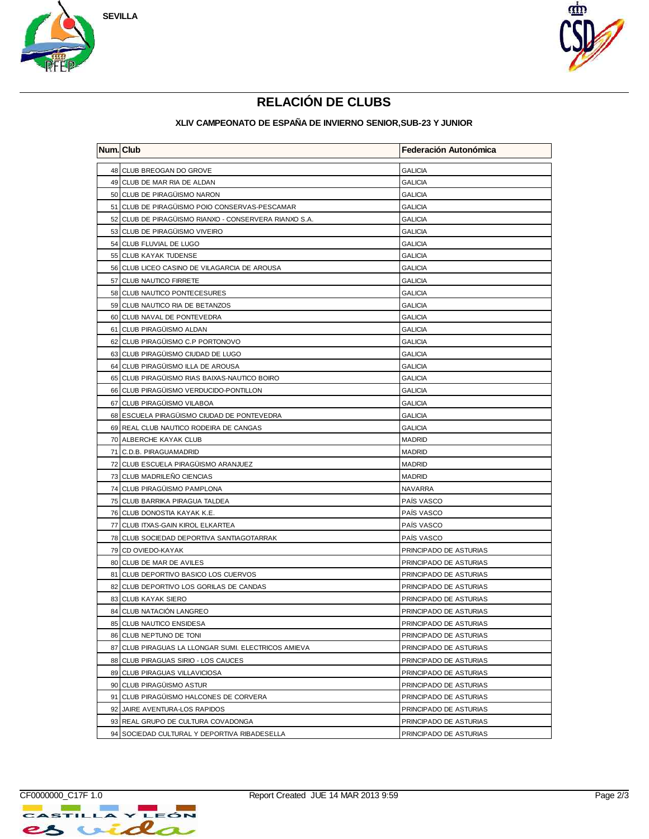



# **RELACIÓN DE CLUBS**

| <b>Num.</b> Club |                                                       | Federación Autonómica  |
|------------------|-------------------------------------------------------|------------------------|
|                  | 48 CLUB BREOGAN DO GROVE                              | <b>GALICIA</b>         |
|                  | 49 CLUB DE MAR RIA DE ALDAN                           | <b>GALICIA</b>         |
|                  | 50 CLUB DE PIRAGÜISMO NARON                           | <b>GALICIA</b>         |
|                  | 51 CLUB DE PIRAGÜISMO POIO CONSERVAS-PESCAMAR         | <b>GALICIA</b>         |
|                  | 52 CLUB DE PIRAGÜISMO RIANXO - CONSERVERA RIANXO S.A. | <b>GALICIA</b>         |
|                  | 53 CLUB DE PIRAGÜISMO VIVEIRO                         | <b>GALICIA</b>         |
|                  | 54 CLUB FLUVIAL DE LUGO                               | <b>GALICIA</b>         |
|                  | 55 CLUB KAYAK TUDENSE                                 | <b>GALICIA</b>         |
|                  | 56 CLUB LICEO CASINO DE VILAGARCIA DE AROUSA          | <b>GALICIA</b>         |
|                  | 57 CLUB NAUTICO FIRRETE                               | <b>GALICIA</b>         |
|                  | 58 CLUB NAUTICO PONTECESURES                          | <b>GALICIA</b>         |
|                  | 59 CLUB NAUTICO RIA DE BETANZOS                       | <b>GALICIA</b>         |
|                  | 60 CLUB NAVAL DE PONTEVEDRA                           | <b>GALICIA</b>         |
|                  | 61 CLUB PIRAGÜISMO ALDAN                              | <b>GALICIA</b>         |
|                  | 62 CLUB PIRAGUISMO C.P PORTONOVO                      | <b>GALICIA</b>         |
|                  | 63 CLUB PIRAGÜISMO CIUDAD DE LUGO                     | <b>GALICIA</b>         |
|                  | 64 CLUB PIRAGÜISMO ILLA DE AROUSA                     | <b>GALICIA</b>         |
|                  | 65 CLUB PIRAGÜISMO RIAS BAIXAS-NAUTICO BOIRO          | <b>GALICIA</b>         |
|                  | 66 CLUB PIRAGÜISMO VERDUCIDO-PONTILLON                | <b>GALICIA</b>         |
|                  | 67 CLUB PIRAGÜISMO VILABOA                            | <b>GALICIA</b>         |
|                  | 68 ESCUELA PIRAGÜISMO CIUDAD DE PONTEVEDRA            | <b>GALICIA</b>         |
|                  | 69 REAL CLUB NAUTICO RODEIRA DE CANGAS                | <b>GALICIA</b>         |
|                  | 70 ALBERCHE KAYAK CLUB                                | <b>MADRID</b>          |
|                  | 71 C.D.B. PIRAGUAMADRID                               | <b>MADRID</b>          |
|                  | 72 CLUB ESCUELA PIRAGÜISMO ARANJUEZ                   | <b>MADRID</b>          |
|                  | 73 CLUB MADRILEÑO CIENCIAS                            | <b>MADRID</b>          |
|                  | 74 CLUB PIRAGUISMO PAMPLONA                           | <b>NAVARRA</b>         |
|                  | 75 CLUB BARRIKA PIRAGUA TALDEA                        | PAÍS VASCO             |
|                  | 76 CLUB DONOSTIA KAYAK K.E.                           | PAIS VASCO             |
|                  | 77 CLUB ITXAS-GAIN KIROL ELKARTEA                     | PAÍS VASCO             |
|                  | 78 CLUB SOCIEDAD DEPORTIVA SANTIAGOTARRAK             | PAIS VASCO             |
|                  | 79 CD OVIEDO-KAYAK                                    | PRINCIPADO DE ASTURIAS |
|                  | 80 CLUB DE MAR DE AVILES                              | PRINCIPADO DE ASTURIAS |
|                  | 81 CLUB DEPORTIVO BASICO LOS CUERVOS                  | PRINCIPADO DE ASTURIAS |
|                  | 82 CLUB DEPORTIVO LOS GORILAS DE CANDAS               | PRINCIPADO DE ASTURIAS |
|                  | 83 CLUB KAYAK SIERO                                   | PRINCIPADO DE ASTURIAS |
|                  | 84 CLUB NATACIÓN LANGREO                              | PRINCIPADO DE ASTURIAS |
|                  | 85 CLUB NAUTICO ENSIDESA                              | PRINCIPADO DE ASTURIAS |
|                  | 86 CLUB NEPTUNO DE TONI                               | PRINCIPADO DE ASTURIAS |
|                  | 87 CLUB PIRAGUAS LA LLONGAR SUMI. ELECTRICOS AMIEVA   | PRINCIPADO DE ASTURIAS |
|                  | 88 CLUB PIRAGUAS SIRIO - LOS CAUCES                   | PRINCIPADO DE ASTURIAS |
|                  | 89 CLUB PIRAGUAS VILLAVICIOSA                         | PRINCIPADO DE ASTURIAS |
|                  | 90 CLUB PIRAGUISMO ASTUR                              | PRINCIPADO DE ASTURIAS |
|                  | 91 CLUB PIRAGÜISMO HALCONES DE CORVERA                | PRINCIPADO DE ASTURIAS |
|                  | 92 JAIRE AVENTURA-LOS RAPIDOS                         | PRINCIPADO DE ASTURIAS |
|                  | 93 REAL GRUPO DE CULTURA COVADONGA                    | PRINCIPADO DE ASTURIAS |
|                  | 94 SOCIEDAD CULTURAL Y DEPORTIVA RIBADESELLA          | PRINCIPADO DE ASTURIAS |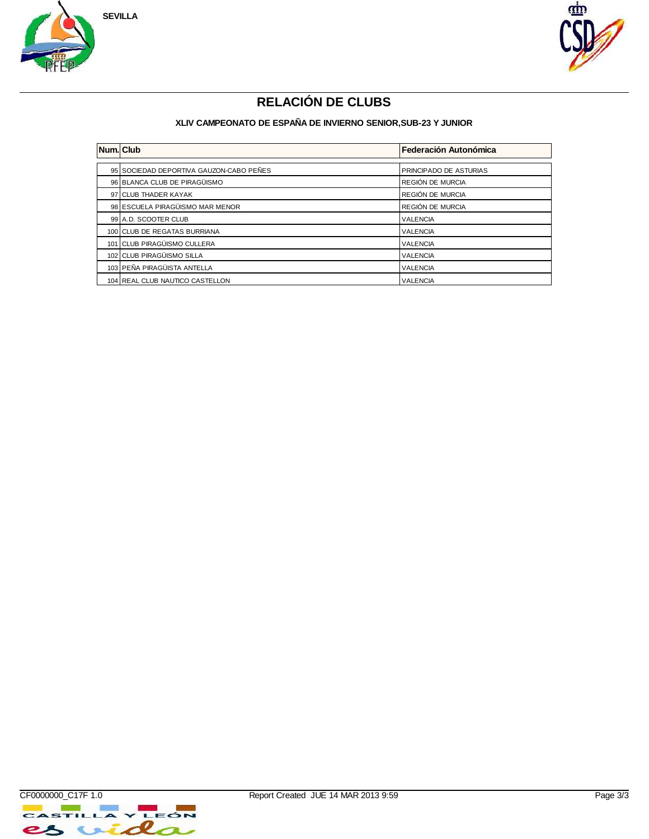



# **RELACIÓN DE CLUBS**

| <b>Num.</b> Club |                                         | Federación Autonómica  |
|------------------|-----------------------------------------|------------------------|
|                  |                                         |                        |
|                  | 95 SOCIEDAD DEPORTIVA GAUZON-CABO PEÑES | PRINCIPADO DE ASTURIAS |
|                  | 96 BLANCA CLUB DE PIRAGÜISMO            | REGIÓN DE MURCIA       |
|                  | 97 CLUB THADER KAYAK                    | REGIÓN DE MURCIA       |
|                  | 98 ESCUELA PIRAGÜISMO MAR MENOR         | REGIÓN DE MURCIA       |
|                  | 99 A.D. SCOOTER CLUB                    | <b>VALENCIA</b>        |
|                  | 100 CLUB DE REGATAS BURRIANA            | <b>VALENCIA</b>        |
|                  | 101 CLUB PIRAGÜISMO CULLERA             | <b>VALENCIA</b>        |
|                  | 102 CLUB PIRAGÜISMO SILLA               | <b>VALENCIA</b>        |
|                  | 103 PEÑA PIRAGÜISTA ANTELLA             | <b>VALENCIA</b>        |
|                  | 104 REAL CLUB NAUTICO CASTELLON         | <b>VALENCIA</b>        |

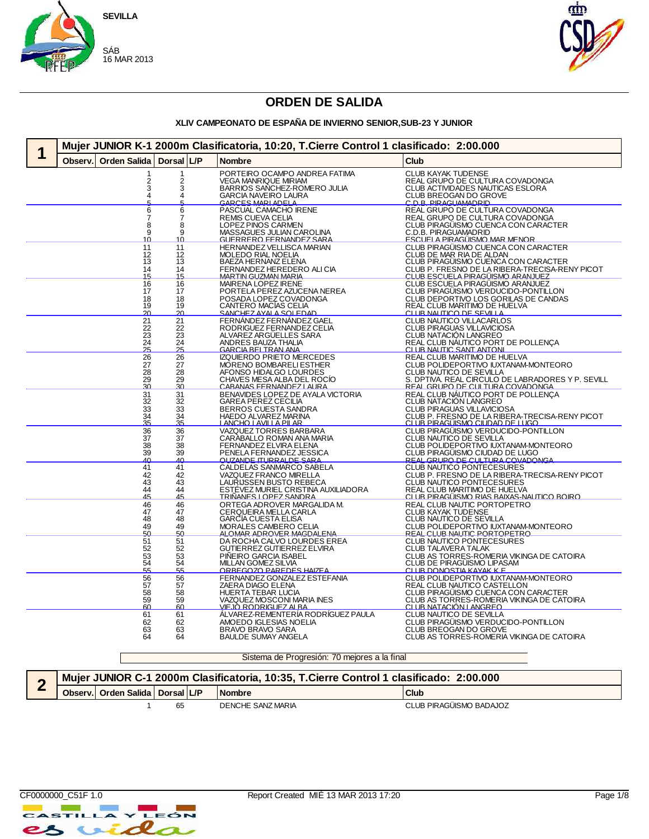



#### **XLIV CAMPEONATO DE ESPAÑA DE INVIERNO SENIOR,SUB-23 Y JUNIOR**

| Mujer JUNIOR K-1 2000m Clasificatoria, 10:20, T.Cierre Control 1 clasificado: 2:00.000 |                 |                                                              |                                                                                     |  |  |  |  |
|----------------------------------------------------------------------------------------|-----------------|--------------------------------------------------------------|-------------------------------------------------------------------------------------|--|--|--|--|
| <b>Orden Salida</b><br>Observ.                                                         | Dorsal L/P      | <b>Nombre</b>                                                | Club                                                                                |  |  |  |  |
| 2                                                                                      | 2               | PORTEIRO OCAMPO ANDREA FATIMA<br>VEGA MANRIQUE MIRIAM        | CLUB KAYAK TUDENSE<br>REAL GRUPO DE CULTURA COVADONGA                               |  |  |  |  |
| 3                                                                                      | 3               | BARRIOS SANCHEZ-ROMERO JULIA                                 | CLUB ACTIVIDADES NAUTICAS ESLORA                                                    |  |  |  |  |
| 4                                                                                      | 4               | <b>GARCIA NAVEIRO LAURA</b>                                  | CLUB BREOGAN DO GROVE                                                               |  |  |  |  |
|                                                                                        | д               | GARCES MARIADELA                                             | C.D.R. PIRAGHAMADRID                                                                |  |  |  |  |
| 6                                                                                      | 6<br>7          | PASCUAL CAMACHO IRENE                                        | REAL GRUPO DE CULTURA COVADONGA                                                     |  |  |  |  |
| 8                                                                                      | 8               | REMIS CUEVA CELIA<br>LOPEZ PINOS CARMEN                      | REAL GRUPO DE CULTURA COVADONGA<br>CLUB PIRAGUISMO CUENCA CON CARACTER              |  |  |  |  |
| 9                                                                                      | 9               | MASSAGUES JULIAN CAROLINA                                    | C.D.B. PIRAGUAMADRID                                                                |  |  |  |  |
| 10<br>11                                                                               | 10<br>11        | <b>GUERRERO FERNANDEZ SARA</b>                               | <u>ESCUELA PIRAGÜISMO MAR MENOR</u>                                                 |  |  |  |  |
| 12                                                                                     | 12              | <b>HERNANDEZ VELLISCA MARIAN</b><br>MOLEDO RIAL NOELIA       | CLUB PIRAGÜISMO CUENCA CON CARACTER<br>CLUB DE MAR RIA DE ALDAN                     |  |  |  |  |
| 13                                                                                     | 13              | BAEZA HERNANZ ELENA                                          | CLUB PIRAGÜISMO CUENCA CON CARACTER                                                 |  |  |  |  |
| 14<br>15                                                                               | 14              | FERNANDEZ HEREDERO ALI CIA                                   | CLUB P. FRESNO DE LA RIBERA-TRECISA-RENY PICOT<br>CLUB ESCUELA PIRAGUISMO ARANJUEZ  |  |  |  |  |
| 16                                                                                     | 15<br>16        | <b>MARTIN GUZMAN MARIA</b><br>MAIRENA LOPEZ IRENE            | CLUB ESCUELA PIRAGÜISMO ARANJUEZ                                                    |  |  |  |  |
| 17                                                                                     | 17              | PORTELA PEREZ AZUCENA NEREA                                  | CLUB PIRAGÜISMO VERDUCIDO-PONTILLON                                                 |  |  |  |  |
| 18                                                                                     | 18              | POSADA LOPEZ COVADONGA<br>CANTERO MACÍAS CELIA               | CLUB DEPORTIVO LOS GORILAS DE CANDAS                                                |  |  |  |  |
| 19<br><u>2Ω</u>                                                                        | 19<br>20        | SANCHEZ AVALA SOLEDAD                                        | REAL CLUB MARITIMO DE HUELVA<br>CLUB NAUTICO DE SEVILLA                             |  |  |  |  |
| $\overline{21}$                                                                        | $\overline{21}$ | FERNÁNDEZ FERNÁNDEZ GAEL                                     | CLUB NAUTICO VILLACARLOS                                                            |  |  |  |  |
| 22                                                                                     |                 | RODRIGUEZ FERNANDEZ CELIA                                    | CLUB PIRAGUAS VILLAVICIOSA                                                          |  |  |  |  |
| $\frac{23}{24}$                                                                        | $\frac{22}{23}$ | ALVAREZ ARGUELLES SARA                                       | CLUB NATACIÓN LANGREO                                                               |  |  |  |  |
| 25                                                                                     | 25              | ANDRES BAUZA THALIA<br><b>GARCIA BELTRAN ANA</b>             | REAL CLUB NAUTICO PORT DE POLLENÇA<br>CLUB NAUTIC SANT ANTONI                       |  |  |  |  |
| $\overline{26}$                                                                        | $\overline{26}$ | <b>IZQUIERDO PRIETO MERCEDES</b>                             | REAL CLUB MARITIMO DE HUELVA                                                        |  |  |  |  |
| $\overline{27}$                                                                        | $\overline{27}$ | MORENO BOMBARELI ESTHER                                      | CLUB POLIDEPORTIVO IUXTANAM-MONTEORO                                                |  |  |  |  |
| 28                                                                                     | 28              | AFONSO HIDALGO LOURDES                                       | CLUB NAUTICO DE SEVILLA                                                             |  |  |  |  |
| $\frac{29}{30}$                                                                        | $\frac{29}{30}$ | CHAVES MESA ALBA DEL ROCÍO<br>CABANAS FERNANDEZI AURA        | S. DPTIVA. REAL CIRCULO DE LABRADORES Y P. SEVILLE REAL GRUPO DE CUI TURA COVADONGA |  |  |  |  |
| 31                                                                                     | 31              | BENAVIDES LOPEZ DE AYALA VICTORIA                            | REAL CLUB NAUTICO PORT DE POLLENÇA                                                  |  |  |  |  |
|                                                                                        | $\frac{32}{33}$ | GAREA PEREZ CECILIA<br>BERROS CUESTA SANDRA                  | CLUB NATACIÓN LANGREO<br>CLUB PIRAGUAS VILLAVICIOSA                                 |  |  |  |  |
| 32<br>33<br>34<br>35                                                                   | $rac{34}{35}$   | HAEDO ALVAREZ MARINA                                         | CLUB P. FRESNO DE LA RIBERA-TRECISA-RENY PICOT                                      |  |  |  |  |
|                                                                                        |                 | <u>IANCHOIAVIILA PILAR</u>                                   | CLUB PIRAGÜISMO CIUDAD DE LUGO.                                                     |  |  |  |  |
| $\frac{36}{37}$                                                                        | 36<br>37        | VAZQUEZ TORRES BARBARA<br>CARABALLO ROMAN ANA MARIA          | CLUB PIRAGÜISMO VERDUCIDO-PONTILLON<br>CLUB NAUTICO DE SEVILLA                      |  |  |  |  |
| 38                                                                                     | 38              | FERNANDEZ ELVIRA ELENA                                       | CLUB POLIDEPORTIVO IUXTANAM-MONTEORO                                                |  |  |  |  |
| 39                                                                                     | 39              | PENELA FERNANDEZ JESSICA                                     | CLUB PIRAGÜISMO CIUDAD DE LUGO                                                      |  |  |  |  |
| <u>ΔΩ</u><br>41                                                                        | <u>ΔΩ</u><br>41 | <u>OUZANDE ITURRALDE SARA</u><br>CALDELAS SANMARCO SABELA    | REAL GRUPO DE CULTURA COVADONGA<br><b>CLUB NAUTICO PONTECESURES</b>                 |  |  |  |  |
| 42                                                                                     | 42              | VAZQUEZ FRANCO MIRELLA                                       | CLUB P. FRESNO DE LA RIBERA-TRECISA-RENY PICOT                                      |  |  |  |  |
| 43                                                                                     | 43              | LAURIJSSEN BUSTO REBECA                                      | CLUB NAUTICO PONTECESURES                                                           |  |  |  |  |
| $\frac{44}{45}$                                                                        | 44<br>45        | ESTÉVEZ MURIEL CRISTINA AUXILIADORA<br>TRIÑANES LOPEZ SANDRA | REAL CLUB MARITIMO DE HUELVA<br>CLUB PIRAGÜISMO RIAS BAIXAS-NAUTICO BOIRO           |  |  |  |  |
| 46                                                                                     | 46              | ORTEGA ADROVER MARGALIDA M.                                  | REAL CLUB NAUTIC PORTOPETRO                                                         |  |  |  |  |
| 47                                                                                     | 47              | CERQUEIRA MELLA CARLA                                        | <b>CLUB KAYAK TUDENSE</b>                                                           |  |  |  |  |
| 48<br>49                                                                               | 48<br>49        | <b>GARCIA CUESTA ELISA</b>                                   | CLUB NAUTICO DE SEVILLA                                                             |  |  |  |  |
| 50                                                                                     | 50              | MORALES CAMBERO CELIA<br><u>ALOMAR ADROVER MAGDALENA</u>     | CLUB POLIDEPORTIVO IUXTANAM-MONTEORO<br><b>REAL CLUB NAUTIC PORTOPETRO</b>          |  |  |  |  |
| 51<br>52                                                                               | $\frac{51}{52}$ | DA ROCHA CALVO LOURDES EREA                                  | CLUB NAUTICO PONTECESURES                                                           |  |  |  |  |
|                                                                                        |                 | GUTIERREZ GUTIERREZ ELVIRA                                   | CLUB TALAVERA TALAK                                                                 |  |  |  |  |
| 53<br>54                                                                               | $\frac{53}{54}$ | PINEIRO GARCIA ISABEL<br>MILLAN GOMEZ SILVIA                 | CLUB AS TORRES-ROMERIA VIKINGA DE CATOIRA<br>CLUB DE PIRAGÜISMO LIPASAM             |  |  |  |  |
| 55                                                                                     |                 | ORBEGOZO PAREDES HAIZEA                                      | CLUB DONOSTIA KAYAK K F                                                             |  |  |  |  |
| 56                                                                                     | $\overline{56}$ | FERNANDEZ GONZALEZ ESTEFANIA                                 | CLUB POLIDEPORTIVO IUXTANAM-MONTEORO                                                |  |  |  |  |
|                                                                                        | 57<br>58        | ZAERA DIAGO ELENA                                            | REAL CLUB NAUTICO CASTELLON<br>CLUB PIRAGUISMO CUENCA CON CARACTER                  |  |  |  |  |
| 57<br>58<br>59                                                                         | 59              | HUERTA TEBAR LUCIA<br>VAZQUEZ MOSCONI MARIA INES             | CLUB AS TORRES-ROMERIA VIKINGA DE CATOIRA                                           |  |  |  |  |
| 60                                                                                     | 60              | VIEJO RODRIGUEZ ALBA                                         | <u>CLUB NATACIÓN LANGREO</u>                                                        |  |  |  |  |
| 61<br>62                                                                               | 61<br>62        | ÁLVAREZ-REMENTERÍA RODRÍGUEZ PAULA<br>AMOEDO IGLESIAS NOELIA | CLUB NAUTICO DE SEVILLA<br>CLUB PIRAGÜISMO VERDUCIDO-PONTILLON                      |  |  |  |  |
| 63                                                                                     | 63              | BRAVO BRAVO SARA                                             | CLUB BREOGAN DO GROVE                                                               |  |  |  |  |
| 64                                                                                     | 64              | <b>BAULDE SUMAY ANGELA</b>                                   | CLUB AS TORRES-ROMERIA VIKINGA DE CATOIRA                                           |  |  |  |  |
|                                                                                        |                 |                                                              |                                                                                     |  |  |  |  |

Sistema de Progresión: 70 mejores a la final

|  | Mujer JUNIOR C-1 2000m Clasificatoria, 10:35, T.Cierre Control 1 clasificado: 2:00.000 |    |  |                   |                         |  |  |  |  |
|--|----------------------------------------------------------------------------------------|----|--|-------------------|-------------------------|--|--|--|--|
|  | Observ. Orden Salida   Dorsal L/P                                                      |    |  | <b>Nombre</b>     | Club                    |  |  |  |  |
|  |                                                                                        | 65 |  | DENCHE SANZ MARIA | CLUB PIRAGÜISMO BADAJOZ |  |  |  |  |



 $\overline{\phantom{a}}$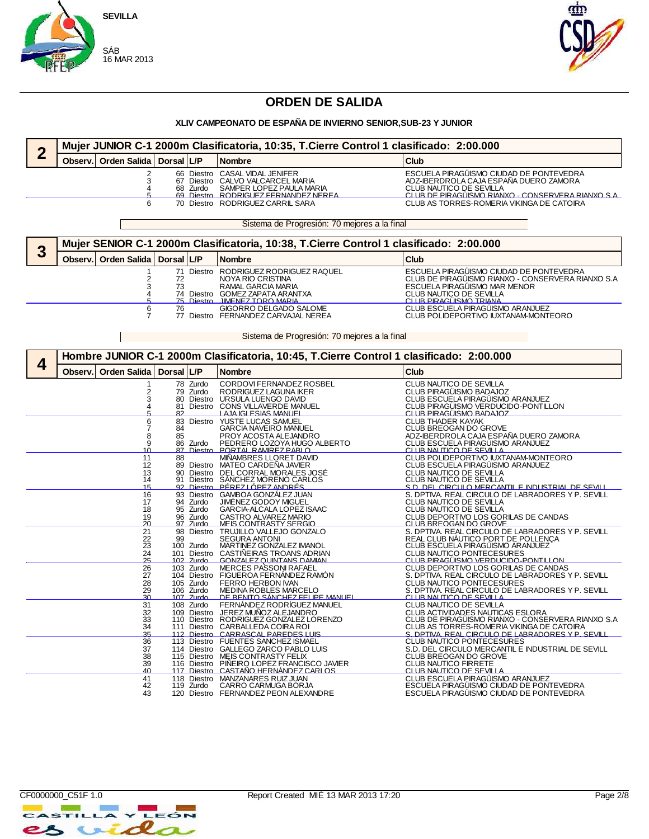

 $\mathbb{R}^n$ 



### **ORDEN DE SALIDA**

#### **XLIV CAMPEONATO DE ESPAÑA DE INVIERNO SENIOR,SUB-23 Y JUNIOR**

|         | Mujer JUNIOR C-1 2000m Clasificatoria, 10:35, T.Cierre Control 1 clasificado: 2:00.000 |  |          |                                                                                                                                                                             |                                                                                                                                                                                                                 |  |  |  |  |
|---------|----------------------------------------------------------------------------------------|--|----------|-----------------------------------------------------------------------------------------------------------------------------------------------------------------------------|-----------------------------------------------------------------------------------------------------------------------------------------------------------------------------------------------------------------|--|--|--|--|
| Observ. | Orden Salida   Dorsal   L/P                                                            |  |          | <b>Nombre</b>                                                                                                                                                               | <b>Club</b>                                                                                                                                                                                                     |  |  |  |  |
|         |                                                                                        |  | 68 Zurdo | 66 Diestro CASAL VIDAL JENIFER<br>67 Diestro CALVO VALCARCEL MARIA<br>SAMPER LOPEZ PAULA MARIA<br>69 Diestro RODRIGLIEZ FERNANDEZ NEREA<br>70 Diestro RODRIGUEZ CARRIL SARA | ESCUELA PIRAGÜISMO CIUDAD DE PONTEVEDRA<br>ADZ-IBERDROLA CAJA ESPAÑA DUERO ZAMORA<br>CLUB NAUTICO DE SEVILLA<br>CLUB DE PIRAGUISMO RIANXO - CONSERVERA RIANXO S.A.<br>CLUB AS TORRES-ROMERIA VIKINGA DE CATOIRA |  |  |  |  |

Sistema de Progresión: 70 mejores a la final

| ≏ |         | Mujer SENIOR C-1 2000m Clasificatoria, 10:38, T.Cierre Control 1 clasificado: 2:00.000 |    |  |                                                                                                                                                   |                                                                                                                                                                                   |  |  |  |  |  |
|---|---------|----------------------------------------------------------------------------------------|----|--|---------------------------------------------------------------------------------------------------------------------------------------------------|-----------------------------------------------------------------------------------------------------------------------------------------------------------------------------------|--|--|--|--|--|
| J | Observ. | Orden Salida   Dorsal   L/P                                                            |    |  | <b>Nombre</b>                                                                                                                                     | Club                                                                                                                                                                              |  |  |  |  |  |
|   |         |                                                                                        |    |  | Diestro RODRIGUEZ RODRIGUEZ RAQUEL<br>NOYA RIO CRISTINA<br>RAMAL GARCIA MARIA<br>74 Diestro GOMEZ ZAPATA ARANTXA<br>75 Diestro IIMENEZ TORO MARIA | ESCUELA PIRAGÜISMO CIUDAD DE PONTEVEDRA<br>CLUB DE PIRAGUISMO RIANXO - CONSERVERA RIANXO S.A<br>ESCUELA PIRAGÜISMO MAR MENOR<br>CLUB NAUTICO DE SEVILLA<br>CLUB PIRAGLISMO TRIANA |  |  |  |  |  |
|   |         |                                                                                        | 76 |  | GIGORRO DELGADO SALOME<br>77 Diestro FERNANDEZ CARVAJAL NEREA                                                                                     | CLUB ESCUELA PIRAGÜISMO ARANJUEZ<br>CLUB POLIDEPORTIVO IUXTANAM-MONTEORO                                                                                                          |  |  |  |  |  |

Sistema de Progresión: 70 mejores a la final

|   | Hombre JUNIOR C-1 2000m Clasificatoria, 10:45, T.Cierre Control 1 clasificado: 2:00.000 |                                               |                      |                                              |                                                                                                                                                                                                                                  |                                                                                                                                                                                                                                                       |  |  |
|---|-----------------------------------------------------------------------------------------|-----------------------------------------------|----------------------|----------------------------------------------|----------------------------------------------------------------------------------------------------------------------------------------------------------------------------------------------------------------------------------|-------------------------------------------------------------------------------------------------------------------------------------------------------------------------------------------------------------------------------------------------------|--|--|
| 4 | Observ.                                                                                 | <b>Orden Salida</b>                           | Dorsal L/P           |                                              | <b>Nombre</b>                                                                                                                                                                                                                    | <b>Club</b>                                                                                                                                                                                                                                           |  |  |
|   |                                                                                         | 2<br>3                                        | 81<br>R <sub>2</sub> | 78 Zurdo<br>79 Zurdo                         | CORDOVI FERNANDEZ ROSBEL<br>RODRIGUEZ LAGUNA IKER<br>80 Diestro URSULA LUENGO DAVID<br>Diestro CONS VILLAVERDE MANUEL                                                                                                            | CLUB NAUTICO DE SEVILLA<br>CLUB PIRAGÜISMO BADAJOZ<br>CLUB ESCUELA PIRAGÜISMO ARANJUEZ<br>CLUB PIRAGÜISMO VERDUCIDO-PONTILLON<br>CLUB PIRAGÜISMO BADAJOZ                                                                                              |  |  |
|   |                                                                                         | 6<br>8<br>9<br>10                             | 84<br>85             | 83 Diestro<br>86 Zurdo                       | YUSTE LUCAS SAMUEL<br><b>GARCIA NAVEIRO MANUEL</b><br>PROY ACOSTA ALEJANDRO<br>PEDRERO LOZOYA HUGO ALBERTO<br>87 Diestro PORTAL RAMIREZ PARLO                                                                                    | <b>CLUB THADER KAYAK</b><br>CLUB BREOGAN DO GROVE<br>ADZ-IBERDROLA CAJA ESPAÑA DUERO ZAMORA<br>CLUB ESCUELA PIRAGÜISMO ARANJUEZ<br>CLUB NALITICO DE SEVILLA                                                                                           |  |  |
|   |                                                                                         | 11<br>12<br>13<br>14<br>15                    | 88                   |                                              | MIÑAMBRES LLORET DAVID<br>89 Diestro MATEO CARDEÑA JAVIER<br>90 Diestro DEL CORRAL MORALES JOSÉ<br>91 Diestro SÁNCHEZ MORENO CARLOS<br>92 Diestro PÉREZIÓPEZANDRÉS                                                               | CLUB POLIDEPORTIVO IUXTANAM-MONTEORO<br>CLUB ESCUELA PIRAGÜISMO ARANJUEZ<br>CLUB NAUTICO DE SEVILLA<br>CLUB NAUTICO DE SEVILLA<br>S.D. DEL CIRCULO MERCANTILE INDUSTRIAL DE SEVILL                                                                    |  |  |
|   |                                                                                         | 16<br>17<br>18<br>19<br>20                    |                      | 94 Zurdo<br>95 Zurdo<br>96 Zurdo<br>97 Zurdo | 93 Diestro GAMBOA GONZÁLEZ JUAN<br>JIMÉNEZ GODOY MIGUEL<br>GARCIA-ALCALA LOPEZ ISAAC<br>CASTRO ALVAREZ MARIO<br>MEIS CONTRASTY SERGIO                                                                                            | S. DPTIVA. REAL CIRCULO DE LABRADORES Y P. SEVILL<br>CLUB NAUTICO DE SEVILLA<br>CLUB NAUTICO DE SEVILLA<br>CLUB DEPORTIVO LOS GORILAS DE CANDAS<br>CLUB BREOGAN DO GROVE                                                                              |  |  |
|   |                                                                                         | 21<br>22<br>23<br>24<br>25                    | 99                   | 100 Zurdo<br>102 Zurdo                       | 98 Diestro TRUJILLO VALLEJO GONZALO<br><b>SEGURA ANTONI</b><br>MARTINEZ GONZALEZ IMANOL<br>101 Diestro CASTIÑEIRAS TROANS ADRIAN<br><b>GONZALEZ QUINTANS DAMIAN</b>                                                              | S. DPTIVA. REAL CIRCULO DE LABRADORES Y P. SEVILL<br>REAL CLUB NAUTICO PORT DE POLLENÇA<br>CLUB ESCUELA PIRAGÜISMO ARANJUEZ<br>CLUB NAUTICO PONTECESURES<br>CLUB PIRAGÜISMO VERDUCIDO-PONTILLON                                                       |  |  |
|   |                                                                                         | 26<br>27<br>28<br>29                          |                      | 103 Zurdo<br>105 Zurdo<br>106 Zurdo          | <b>MERCES PASSONI RAFAEL</b><br>104 Diestro FIGUEROA FERNÁNDEZ RAMÓN<br>FERRO HERBON IVAN<br>MEDINA ROBLES MARCELO                                                                                                               | CLUB DEPORTIVO LOS GORILAS DE CANDAS<br>S. DPTIVA, REAL CIRCULO DE LABRADORES Y P. SEVILL<br>CLUB NAUTICO PONTECESURES<br>S. DPTIVA. REAL CIRCULO DE LABRADORES Y P. SEVILL                                                                           |  |  |
|   |                                                                                         | 30 <sub>1</sub><br>31<br>32<br>33<br>34<br>35 |                      | $107$ Zurdo<br>108 Zurdo                     | <u>DE RENITO SÁNCHEZ EFI IDE MANI IEI</u><br>FERNÁNDEZ RODRÍGUEZ MANUEL<br>109 Diestro JEREZ MUÑOZ ALEJANDRO<br>110 Diestro RODRIGUEZ GONZALEZ LORENZO<br>111 Diestro CARBALLEDA COIRA ROI<br>112 Diestro CARRASCAL PAREDES LUIS | CLUB NALITICO DE SEVILLA<br>CLUB NAUTICO DE SEVILLA<br>CLUB ACTIVIDADES NAUTICAS ESLORA<br>CLUB DE PIRAGÜISMO RIANXO - CONSERVERA RIANXO S.A<br>CLUB AS TORRES-ROMERIA VIKINGA DE CATOIRA<br><u>S. DPTIVA, REAL CIRCULO DE LABRADORES Y P. SEVILL</u> |  |  |
|   |                                                                                         | 36<br>37<br>38<br>39<br>40                    |                      |                                              | 113 Diestro FUENTES SANCHEZ ISMAEL<br>114 Diestro GALLEGO ZARCO PABLO LUIS<br>115 Diestro MEIS CONTRASTY FELIX<br>116 Diestro PIÑEIRO LOPEZ FRANCISCO JAVIER<br><u>117 Diestro CASTAÑO HERNÁNDEZ CARLOS</u>                      | <b>CLUB NAUTICO PONTECESURES</b><br>S.D. DEL CIRCULO MERCANTIL E INDUSTRIAL DE SEVILL<br>CLUB BREOGAN DO GROVE<br><b>CLUB NAUTICO FIRRETE</b><br>CLUB NAUTICO DE SEVILLA                                                                              |  |  |
|   |                                                                                         | 41<br>42<br>43                                |                      | 119 Zurdo                                    | 118 Diestro MANZANARES RUIZ JUAN<br>CARRO CARMUGA BORJA<br>120 Diestro FERNANDEZ PEON ALEXANDRE                                                                                                                                  | CLUB ESCUELA PIRAGÜISMO ARANJUEZ<br>ESCUELA PIRAGÜISMO CIUDAD DE PONTEVEDRA<br>ESCUELA PIRAGÜISMO CIUDAD DE PONTEVEDRA                                                                                                                                |  |  |

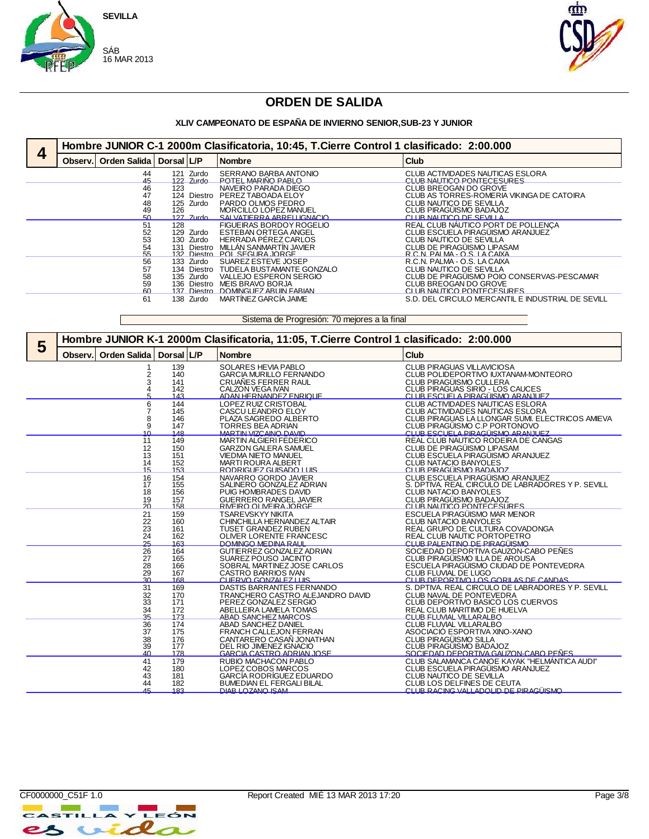



# **ORDEN DE SALIDA**

#### **XLIV CAMPEONATO DE ESPAÑA DE INVIERNO SENIOR,SUB-23 Y JUNIOR**

|   | Hombre JUNIOR C-1 2000m Clasificatoria, 10:45, T.Cierre Control 1 clasificado: 2:00.000 |            |                                                                     |                                                                                                                                            |                                                                                                                                                                 |  |  |  |
|---|-----------------------------------------------------------------------------------------|------------|---------------------------------------------------------------------|--------------------------------------------------------------------------------------------------------------------------------------------|-----------------------------------------------------------------------------------------------------------------------------------------------------------------|--|--|--|
| 4 | Observ. Orden Salida   Dorsal L/P                                                       |            |                                                                     | <b>Nombre</b>                                                                                                                              | Club                                                                                                                                                            |  |  |  |
|   | 44<br>45                                                                                |            | 121 Zurdo<br>122 Zurdo                                              | SERRANO BARBA ANTONIO<br>POTEL MARIÑO PARI O                                                                                               | CLUB ACTIVIDADES NAUTICAS ESLORA<br>CI LIB NALITICO PONTECESLIRES                                                                                               |  |  |  |
|   | 46<br>47<br>48<br>49<br>50                                                              | 123<br>126 | 124 Diestro<br>125 Zurdo<br>$127$ $Zurdn$                           | NAVEIRO PARADA DIEGO<br>PEREZ TABOADA ELOY<br>PARDO OLMOS PEDRO<br>MORCILLO LOPEZ MANUEL<br>SALVATIERRA ARREHIGNACIO                       | CLUB BREOGAN DO GROVE<br>CLUB AS TORRES-ROMERIA VIKINGA DE CATOIRA<br>CLUB NAUTICO DE SEVILLA<br>CLUB PIRAGÜISMO BADAJOZ<br>CLUB NALITICO DE SEVILLA            |  |  |  |
|   | 51<br>52<br>53<br>54<br>55                                                              |            | 128<br>129 Zurdo<br>130 Zurdo<br>131 Diestro                        | FIGUEIRAS BORDOY ROGELIO<br><b>ESTEBAN ORTEGA ANGEL</b><br>HERRADA PÉREZ CARLOS<br>MILLÁN SANMARTÍN JAVIER<br>132 Diestro POI SEGURA IORGE | REAL CLUB NAUTICO PORT DE POLLENÇA<br>CLUB ESCUELA PIRAGÜISMO ARANJUEZ<br>CLUB NAUTICO DE SEVILLA<br>CLUB DE PIRAGÜISMO LIPASAM<br>R C N PAI MA - O S I A CAIXA |  |  |  |
|   | 56<br>57<br>58<br>59<br>60                                                              |            | 133 Zurdo<br>134 Diestro<br>135 Zurdo<br>136 Diestro<br>137 Diestro | SUAREZ ESTEVE JOSEP<br>TUDELA BUSTAMANTE GONZALO<br>VALLEJO ESPERON SERGIO<br>MEIS BRAVO BORJA<br>DOMINGLIEZ ARLIIN FARIAN                 | R.C.N. PALMA - O.S. LA CAIXA<br>CLUB NAUTICO DE SEVILLA<br>CLUB DE PIRAGÜISMO POIO CONSERVAS-PESCAMAR<br>CLUB BREOGAN DO GROVE<br>CI LIB NALITICO PONTECESLIRES |  |  |  |
|   | 61                                                                                      |            | 138 Zurdo                                                           | MARTÍNEZ GARCÍA JAIME                                                                                                                      | S.D. DEL CIRCULO MERCANTIL E INDUSTRIAL DE SEVILL                                                                                                               |  |  |  |

Sistema de Progresión: 70 mejores a la final

| 5 | Hombre JUNIOR K-1 2000m Clasificatoria, 11:05, T.Cierre Control 1 clasificado: 2:00.000 |                                        |                                 |                                                                                                                                                 |                                                                                                                                                                                               |  |  |  |
|---|-----------------------------------------------------------------------------------------|----------------------------------------|---------------------------------|-------------------------------------------------------------------------------------------------------------------------------------------------|-----------------------------------------------------------------------------------------------------------------------------------------------------------------------------------------------|--|--|--|
|   | Observ.                                                                                 | <b>Orden Salida</b>                    | Dorsal L/P                      | <b>Nombre</b>                                                                                                                                   | Club                                                                                                                                                                                          |  |  |  |
|   |                                                                                         | 2                                      | 139<br>140<br>141<br>142<br>143 | SOLARES HEVIA PABLO<br><b>GARCIA MURILLO FERNANDO</b><br>CRUAÑES FERRER RAUL<br>CALZON VEGA IVAN<br>ADAN HERNANDEZ ENRIOLIE                     | <b>CLUB PIRAGUAS VILLAVICIOSA</b><br>CLUB POLIDEPORTIVO IUXTANAM-MONTEORO<br>CLUB PIRAGÜISMO CULLERA<br>CLUB PIRAGUAS SIRIO - LOS CAUCES<br>CI UB ESCUEI A PIRAGUISMO ARANJI IEZ              |  |  |  |
|   |                                                                                         | 6<br>8<br>9<br>10                      | 144<br>145<br>146<br>147<br>148 | LOPEZ RUIZ CRISTOBAL<br>CASCU LEANDRO ELOY<br>PLAZA SAGREDO ALBERTO<br><b>TORRES BEA ADRIAN</b><br><b>MARTIN VIZCAINO DAVID</b>                 | CLUB ACTIVIDADES NAUTICAS ESLORA<br>CLUB ACTIVIDADES NAUTICAS ESLORA<br>CLUB PIRAGUAS LA LLONGAR SUMI. ELECTRICOS AMIEVA<br>CLUB PIRAGÜISMO C.P PORTONOVO<br>CLUB ESCUELA PIRAGÜISMO ARANJUEZ |  |  |  |
|   |                                                                                         | 11<br>12<br>13<br>14<br>15             | 149<br>150<br>151<br>152<br>153 | MARTIN ALGIERI FEDERICO<br><b>GARZON GALERA SAMUEL</b><br><b>VIEDMA NIETO MANUEL</b><br><b>MARTI ROURA ALBERT</b><br>RODRIGLIEZ GLIISADO I LIIS | REAL CLUB NAUTICO RODEIRA DE CANGAS<br>CLUB DE PIRAGÜISMO LIPASAM<br>CLUB ESCUELA PIRAGÜISMO ARANJUEZ<br>CLUB NATACIO BANYOLES<br>CLUB PIRAGÜISMO BADAJOZ                                     |  |  |  |
|   |                                                                                         | 16<br>17<br>18<br>19<br>20             | 154<br>155<br>156<br>157<br>158 | NAVARRO GORDO JAVIER<br>SALINERO GONZALEZ ADRIAN<br>PUIG HOMBRADES DAVID<br><b>GUERRERO RANGEL JAVIER</b><br>RIVEIRO OLIVEIRA JORGE             | CLUB ESCUELA PIRAGÜISMO ARANJUEZ<br>S. DPTIVA. REAL CIRCULO DE LABRADORES Y P. SEVILL<br><b>CLUB NATACIO BANYOLES</b><br>CLUB PIRAGÜISMO BADAJOZ<br><b>CLUB NAUTICO PONTECESURES</b>          |  |  |  |
|   |                                                                                         | 21<br>22<br>23<br>24<br>25             | 159<br>160<br>161<br>162<br>163 | <b>TSAREVSKYY NIKITA</b><br>CHINCHILLA HERNANDEZ ALTAIR<br><b>TUSET GRANDEZ RUBEN</b><br>OLIVER LORENTE FRANCESC<br>DOMINGO MEDINA RAHI         | ESCUELA PIRAGÜISMO MAR MENOR<br>CLUB NATACIO BANYOLES<br>REAL GRUPO DE CULTURA COVADONGA<br>REAL CLUB NAUTIC PORTOPETRO<br>CLUB PALENTINO DE PIRAGÜISMO.                                      |  |  |  |
|   |                                                                                         | 26<br>27<br>28<br>29<br>۹Λ             | 164<br>165<br>166<br>167<br>168 | GUTIERREZ GONZALEZ ADRIAN<br>SUAREZ POUSO JACINTO<br>SOBRAL MARTINEZ JOSE CARLOS<br>CASTRO BARRIOS IVAN<br>CUERVO GONZALEZ LUIS                 | SOCIEDAD DEPORTIVA GAUZON-CABO PEÑES<br>CLUB PIRAGÜISMO ILLA DE AROUSA<br>ESCUELA PIRAGÜISMO CIUDAD DE PONTEVEDRA<br>CLUB FLUVIAL DE LUGO<br>CLUB DEPORTIVO LOS GORILAS DE CANDAS.            |  |  |  |
|   |                                                                                         | 31<br>32<br>33<br>34<br>$\frac{25}{3}$ | 169<br>170<br>171<br>172<br>173 | DASTIS BARRANTES FERNANDO<br>TRANCHERO CASTRO ALEJANDRO DAVID<br>PEREZ GONZALEZ SERGIO<br>ABELLEIRA LAMELA TOMAS<br>ARAD SANCHEZ MARCOS         | S. DPTIVA. REAL CIRCULO DE LABRADORES Y P. SEVILL<br>CLUB NAVAL DE PONTEVEDRA<br>CLUB DEPORTIVO BASICO LOS CUERVOS<br>REAL CLUB MARITIMO DE HUELVA<br>CITIR FITIMAL VILLARALRO                |  |  |  |
|   |                                                                                         | 36<br>37<br>$\frac{38}{39}$            | 174<br>175<br>176<br>177<br>178 | ABAD SANCHEZ DANIEL<br><b>FRANCH CALLEJON FERRAN</b><br>CANTARERO CASAÑ JONATHAN<br>DEL RIO JIMENEZ IGNACIO<br><b>GARCIA CASTRO ADRIAN.IOSE</b> | CLUB FLUVIAL VILLARALBO<br>ASOCIACIÓ ESPORTIVA XINO-XANO<br>CLUB PIRAGÜISMO SILLA<br>ČLŮB PÍRAGŮÍSMO BADAJOZ<br>SOCIEDAD DEPORTIVA GALIZON-CARO PEŇES.                                        |  |  |  |
|   |                                                                                         | 41<br>42<br>43<br>44<br>45             | 179<br>180<br>181<br>182<br>183 | RUBIO MACHACON PABLO<br>LOPEZ COBOS MARCOS<br>GARCÍA RODRÍGUEZ EDUARDO<br><b>BUMEDIAN EL FERGALI BILAL</b><br>DIAR LOZANO ISAM                  | CLUB SALAMANCA CANOE KAYAK "HELMÁNTICA AUDI"<br>CLUB ESCUELA PIRAGÜISMO ARANJUEZ<br>CLUB NAUTICO DE SEVILLA<br>CLUB LOS DELFINES DE CEUTA<br><u>CLUB RACING VALLADOLID DE PIRAGIÏISMO.</u>    |  |  |  |

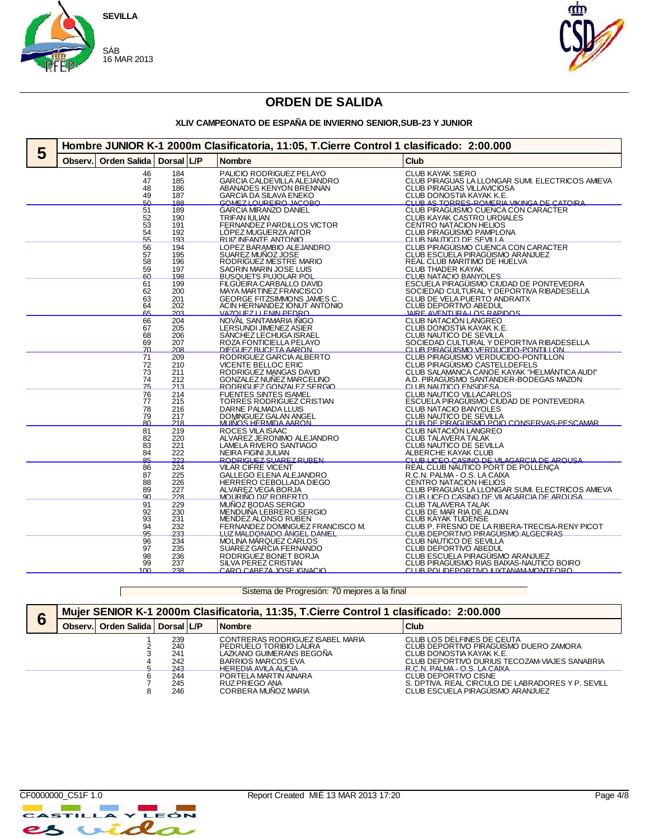



#### **XLIV CAMPEONATO DE ESPAÑA DE INVIERNO SENIOR,SUB-23 Y JUNIOR**

| 5 | Hombre JUNIOR K-1 2000m Clasificatoria, 11:05, T.Cierre Control 1 clasificado: 2:00.000 |                     |                   |  |                                                         |                                                                                      |  |  |  |  |
|---|-----------------------------------------------------------------------------------------|---------------------|-------------------|--|---------------------------------------------------------|--------------------------------------------------------------------------------------|--|--|--|--|
|   | Observ.                                                                                 | <b>Orden Salida</b> | Dorsal L/P        |  | <b>Nombre</b>                                           | <b>Club</b>                                                                          |  |  |  |  |
|   |                                                                                         | 46<br>47            | 184<br>185        |  | PALICIO RODRIGUEZ PELAYO<br>GARCIA CALDEVILLA ALEJANDRO | CLUB KAYAK SIERO<br>CLUB PIRAGUAS LA LLONGAR SUMI. ELECTRICOS AMIEVA                 |  |  |  |  |
|   |                                                                                         | 48                  | 186               |  | ABANADES KENYON BRENNAN                                 | <b>CLUB PIRAGUAS VILLAVICIOSA</b>                                                    |  |  |  |  |
|   |                                                                                         | 49<br>БΩ            | 187<br>188        |  | <b>GARCIA DA SILAVA ENEKO</b>                           | CLUB DONOSTIA KAYAK K.E.                                                             |  |  |  |  |
|   |                                                                                         | 51                  | 189               |  | GOMEZ LOUREIRO JACOBO<br><b>GARCIA MIRANZO DANIEL</b>   | CLUB AS TORRES-ROMERIA VIKINGA DE CATOIRA<br>CLUB PIRAGÜISMO CUENCA CON CARACTER     |  |  |  |  |
|   |                                                                                         | $\frac{52}{53}$     | 190               |  | TRIFAN IULIAN<br>FERNANDEZ PARDILLOS VICTOR             | CLUB KAYAK CASTRO URDIALES<br>CENTRO NATACION HELIOS                                 |  |  |  |  |
|   |                                                                                         |                     | 191               |  |                                                         |                                                                                      |  |  |  |  |
|   |                                                                                         | $\frac{54}{55}$     | 192<br>193        |  | LÓPEZ MUGUERZA AITOR<br>RUIZ INFANTE ANTONIO            | CLUB PIRAGÜISMO PAMPLONA<br>CLUB NAUTICO DE SEVILLA                                  |  |  |  |  |
|   |                                                                                         | 56                  | 194               |  | LOPEZ BARAMBIO ALEJANDRO                                | CLUB PIRAGÜISMO CUENCA CON CARACTER                                                  |  |  |  |  |
|   |                                                                                         | 57<br>58            | 195<br>196        |  | SUAREZ MUÑOZ JOSE<br>RODRÍGUEZ MESTRE MARIO             | CLUB ESCUELA PIRAGÜISMO ARANJUEZ<br>REAL CLUB MARITIMO DE HUELVA                     |  |  |  |  |
|   |                                                                                         |                     | 197               |  | SAORIN MARIN JOSE LUIS                                  | <b>CLUB THADER KAYAK</b>                                                             |  |  |  |  |
|   |                                                                                         | $\frac{59}{60}$     | 198               |  | BUSQUETS PUJOLAR POL                                    | CLUB NATACIO BANYOLES                                                                |  |  |  |  |
|   |                                                                                         | 61<br>62            | 199<br>200        |  | FILGUEIRA CARBALLO DAVID<br>MAYA MARTINEZ FRANCISCO     | ESCUELA PIRAGÜISMO CIUDAD DE PONTEVEDRA<br>SOCIEDAD CULTURAL Y DEPORTIVA RIBADESELLA |  |  |  |  |
|   |                                                                                         | 63                  | 201               |  | GEORGE FITZSIMMONS JAMES C.                             | CLUB DE VELA PUERTO ANDRAITX                                                         |  |  |  |  |
|   |                                                                                         | 64                  | 202               |  | ACIN HERNANDEZ IONUT ANTONIO                            | CLUB DEPORTIVO ABEDUL                                                                |  |  |  |  |
|   |                                                                                         | 65<br>66            | 203<br>204        |  | VAZOUEZ LLENIN PEDRO<br>NOVAL SANTAMARIA IÑIGO          | IAIRE AVENTURA-LOS RAPIDOS<br>CLUB NATACIÓN LANGREO                                  |  |  |  |  |
|   |                                                                                         | 67                  | 205               |  | LERSUNDI JIMENEZ ASIER                                  | CLUB DONOSTIA KAYAK K.E.                                                             |  |  |  |  |
|   |                                                                                         | 68                  | 206               |  | SÁNCHEZ LECHUGA ISRAEL                                  | CLUB NAUTICO DE SEVILLA                                                              |  |  |  |  |
|   |                                                                                         | 69<br>70            | 207<br>208        |  | ROZA FONTICIELLA PELAYO<br>DIEGUEZ BUCETA AARON.        | SOCIEDAD CULTURAL Y DEPORTIVA RIBADESELLA<br>CLUB PIRAGÜISMO VERDUCIDO-PONTILLON     |  |  |  |  |
|   |                                                                                         | 71                  | 209               |  | RODRIGUEZ GARCIA ALBERTO                                | CLUB PIRAGÜISMO VERDUCIDO-PONTILLON                                                  |  |  |  |  |
|   |                                                                                         | 72                  | 210               |  | VICENTE BELLOC ERIC                                     | CLUB PIRAGÜISMO CASTELLDEFELS                                                        |  |  |  |  |
|   |                                                                                         | 73<br>74            | 211               |  | RODRIGUEZ MANGAS DAVID                                  | CLUB SALAMANCA CANOE KAYAK "HELMANTICA AUDI"                                         |  |  |  |  |
|   |                                                                                         | 75                  | $\frac{212}{213}$ |  | GONZALEZ NUÑEZ MARCELINO<br>RODRIGUEZ GONZALEZ SERGIO   | A.D. PIRAGÜISMO SANTANDER-BODEGAS MAZON<br>CLUB NAUTICO ENSIDESA                     |  |  |  |  |
|   |                                                                                         | 76                  | 214               |  | <b>FUENTES SINTES ISAMEL</b>                            | CLUB NAUTICO VILLACARLOS                                                             |  |  |  |  |
|   |                                                                                         | 77<br>78            | 215<br>216        |  | TORRES RODRIGUEZ CRISTIAN<br><b>DARNE PALMADA LLUIS</b> | ESCUELA PIRAGUISMO CIUDAD DE PONTEVEDRA<br><b>CLUB NATACIO BANYOLES</b>              |  |  |  |  |
|   |                                                                                         | $\frac{79}{80}$     | 217               |  | DOMINGUEZ GALAN ANGEL                                   | CLUB NAUTICO DE SEVILLA<br>CLUB DE PIRAGUISMO POIO CONSERVAS-PESCAMAR.               |  |  |  |  |
|   |                                                                                         |                     | 218               |  |                                                         |                                                                                      |  |  |  |  |
|   |                                                                                         | 81<br>82            | 219<br>220        |  | ROCES VILA ISAAC<br>ALVAREZ JERONIMO ALEJANDRO          | CLUB NATACIÓN LANGREO<br><b>CLUB TALAVERA TALAK</b>                                  |  |  |  |  |
|   |                                                                                         | 83<br>84            | 221               |  | <b>LAMELA RIVERO SANTIAGO</b>                           | CLUB NAUTICO DE SEVILLA                                                              |  |  |  |  |
|   |                                                                                         | 85                  | 222<br>223        |  | <b>NEIRA FIGINI JULIAN</b><br>RODRIGHEZ SHAREZ RHREN    | <b>ALBERCHE KAYAK CLUB</b>                                                           |  |  |  |  |
|   |                                                                                         | 86                  | $\overline{224}$  |  | <b>VILAR CIFRE VICENT</b>                               | CLUB LICEO CASINO DE VILAGARCIA DE AROUSA<br>REAL CLUB NÁUTICO PORT DE POLLENÇA      |  |  |  |  |
|   |                                                                                         | 87                  | 225               |  | GALLEGO ELENA ALEJANDRO                                 | R.C.N. PALMA - O.S. LA CAIXA                                                         |  |  |  |  |
|   |                                                                                         | 88<br>89            | 226<br>227        |  | HERRERO CEBOLLADA DIEGO<br>ALVAREZ VEGA BORJA           | CENTRO NATACION HELIOS<br>CLUB PIRAGUAS LA LLONGAR SUMI. ELECTRICOS AMIEVA           |  |  |  |  |
|   |                                                                                         | Q <sub>0</sub>      | 228               |  | MOURIÑO DIZ ROBERTO                                     | <u>CLUB LICEO CASINO DE VILAGARCIA DE AROUSA</u>                                     |  |  |  |  |
|   |                                                                                         | 91                  | 229               |  | MUÑOZ BODAS SERGIO                                      | <b>CLUB TALAVERA TALAK</b>                                                           |  |  |  |  |
|   |                                                                                         | 92<br>93            | 230<br>231        |  | MENDUIÑA LEBRERO SERGIO<br>MENDEZ ALONSO RUBEN          | CLUB DE MAR RIA DE ALDAN<br><b>CLUB KAYAK TUDENSE</b>                                |  |  |  |  |
|   |                                                                                         | $\frac{94}{95}$     | 232               |  | FERNANDEZ DOMINGUEZ FRANCISCO M.                        | CLUB P. FRESNO DE LA RIBERA-TRECISA-RENY PICOT                                       |  |  |  |  |
|   |                                                                                         |                     | 233               |  | <u>LUZ MALDONADO ÁNGEL DANIEL</u>                       | CLUB DEPORTIVO PIRAGÜISMO ALGECIRAS                                                  |  |  |  |  |
|   |                                                                                         | 96<br>97            | 234<br>235        |  | MOLINA MARQUEZ CARLOS<br>SUAREZ GARCIA FERNANDO         | CLUB NAUTICO DE SEVILLA<br>CLUB DEPORTIVO ABEDUL                                     |  |  |  |  |
|   |                                                                                         | 98                  | 236               |  | RODRIGUEZ BONET BORJA                                   |                                                                                      |  |  |  |  |
|   |                                                                                         | 99                  | 237               |  | SILVA PEREZ CRISTIAN                                    | CLUB ESCUELA PIRAGÜISMO ARANJUEZ<br>CLUB PIRAGÜISMO RIAS BAIXAS-NAUTICO BOIRO        |  |  |  |  |
|   |                                                                                         | 100                 | 238               |  | CARO CAREZA IOSE IGNACIO                                | <u>CLUB POLIDEPORTIVO ILIXTANAM MONTEORO</u>                                         |  |  |  |  |

Sistema de Progresión: 70 mejores a la final

| 6 |               | Mujer SENIOR K-1 2000m Clasificatoria, 11:35, T.Cierre Control 1 clasificado: 2:00.000 |                                 |  |                                                                                                                                             |                                                                                                                                                                                   |  |  |  |  |
|---|---------------|----------------------------------------------------------------------------------------|---------------------------------|--|---------------------------------------------------------------------------------------------------------------------------------------------|-----------------------------------------------------------------------------------------------------------------------------------------------------------------------------------|--|--|--|--|
|   | <b>Observ</b> | Orden Salida   Dorsal   L/P                                                            |                                 |  | <b>Nombre</b>                                                                                                                               | Club                                                                                                                                                                              |  |  |  |  |
|   |               |                                                                                        | 239<br>240<br>241<br>242<br>243 |  | CONTRERAS RODRIGUEZ ISABEL MARIA<br>PEDRUELO TORIBIO LAURA<br>LAZKANO GUIMERANS BEGONA<br><b>BARRIOS MARCOS EVA</b><br>HEREDIA AVILA ALICIA | CLUB LOS DELFINES DE CEUTA<br>CLUB DEPORTIVO PIRAGÜISMO DUERO ZAMORA<br>CLUB DONOSTIA KAYAK K.E.<br>CLUB DEPORTIVO DURIUS TECOZAM-VIAJES SANABRIA<br>R C N PAI MA - O S I A CAIXA |  |  |  |  |
|   |               |                                                                                        | 244<br>245<br>246               |  | PORTELA MARTIN AINARA<br>RUZ PRIEGO ANA<br>CORBERA MUNOZ MARIA                                                                              | CLUB DEPORTIVO CISNE<br>S. DPTIVA. REAL CIRCULO DE LABRADORES Y P. SEVILL<br>CLUB ESCUELA PIRAGÜISMO ARANJUEZ                                                                     |  |  |  |  |



 $\label{eq:2.1} \frac{1}{2} \sum_{i=1}^n \frac{1}{2} \sum_{j=1}^n \frac{1}{2} \sum_{j=1}^n \frac{1}{2} \sum_{j=1}^n \frac{1}{2} \sum_{j=1}^n \frac{1}{2} \sum_{j=1}^n \frac{1}{2} \sum_{j=1}^n \frac{1}{2} \sum_{j=1}^n \frac{1}{2} \sum_{j=1}^n \frac{1}{2} \sum_{j=1}^n \frac{1}{2} \sum_{j=1}^n \frac{1}{2} \sum_{j=1}^n \frac{1}{2} \sum_{j=1}^n \frac{$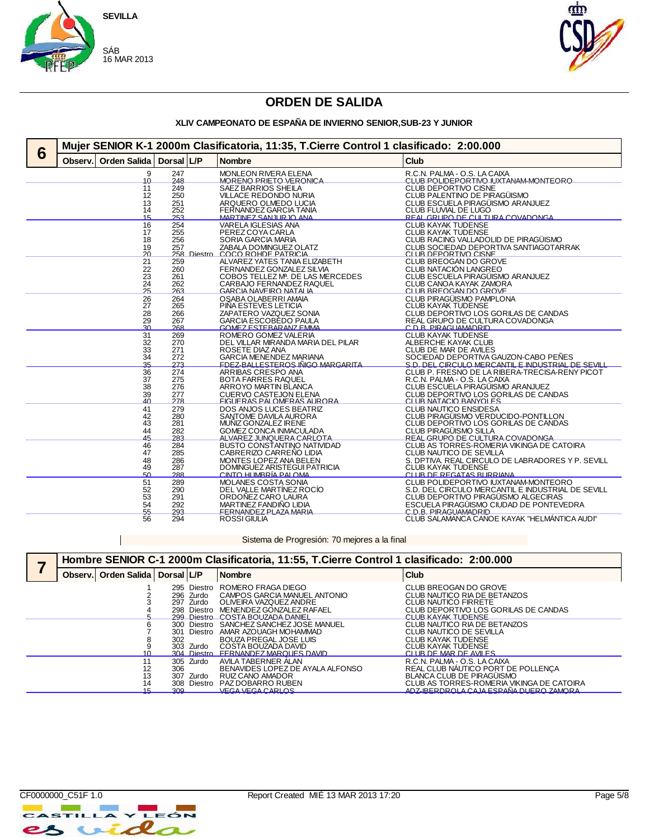



#### **XLIV CAMPEONATO DE ESPAÑA DE INVIERNO SENIOR,SUB-23 Y JUNIOR**

|   |         |                       | Mujer SENIOR K-1 2000m Clasificatoria, 11:35, T.Cierre Control 1 clasificado: 2:00.000 |  |                                                               |                                                                                          |  |  |
|---|---------|-----------------------|----------------------------------------------------------------------------------------|--|---------------------------------------------------------------|------------------------------------------------------------------------------------------|--|--|
| 6 | Observ. | <b>Orden Salida</b>   | Dorsal L/P                                                                             |  | <b>Nombre</b>                                                 | <b>Club</b>                                                                              |  |  |
|   |         | 9<br>10               | 247<br>248                                                                             |  | <b>MONLEON RIVERA ELENA</b><br>MORENO PRIETO VERONICA         | R.C.N. PALMA - O.S. LA CAIXA<br>CLUB POLIDEPORTIVO ILIXTANAM-MONTEORO                    |  |  |
|   |         | 11<br>12              | 249<br>250                                                                             |  | SAEZ BARRIOS SHEILA<br><b>VILLACE REDONDO NURIA</b>           | CLUB DEPORTIVO CISNE<br>CLUB PALENTINO DE PIRAGÜISMO                                     |  |  |
|   |         | 13<br>14              | 251<br>252                                                                             |  | ARQUERO OLMEDO LUCIA<br>FERNANDEZ GARCIA TANIA                | CLUB ESCUELA PIRAGÜISMO ARANJUEZ<br>CLUB FLUVIAL DE LUGO                                 |  |  |
|   |         | 15                    | 253                                                                                    |  | MARTINEZ SAN ILIR IO ANA                                      | REAL CRUPO DE CULTURA COVADONGA                                                          |  |  |
|   |         | 16                    | 254                                                                                    |  | <b>VARELA IGLESIAS ANA</b>                                    | <b>CLUB KAYAK TUDENSE</b>                                                                |  |  |
|   |         | 17<br>18              | 255<br>256                                                                             |  | PEREZ COYA CARLA<br><b>SORIA GARCIA MARIA</b>                 | <b>CLUB KAYAK TUDENSE</b><br>CLUB RACING VALLADOLID DE PIRAGÜISMO                        |  |  |
|   |         | 19                    | 257                                                                                    |  | ZABALA DOMINGUEZ OLATZ                                        | CLUB SOCIEDAD DEPORTIVA SANTIAGOTARRAK                                                   |  |  |
|   |         | 20                    |                                                                                        |  | 258 Diestro COCO ROHDE PATRICIA                               | CLUB DEPORTIVO CISNE                                                                     |  |  |
|   |         | 21                    | 259                                                                                    |  | ALVAREZ YATES TANIA ELIZABETH                                 | CLUB BREOGAN DO GROVE                                                                    |  |  |
|   |         | 22<br>23              | 260<br>261                                                                             |  | FERNANDEZ GONZALEZ SILVIA<br>COBOS TELLEZ MP. DE LAS MERCEDES | CLUB NATACIÓN LANGREO<br>CLUB ESCUELA PIRAGÜISMO ARANJUEZ                                |  |  |
|   |         | $\frac{24}{25}$       | 262                                                                                    |  | CARBAJO FERNANDEZ RAQUEL                                      | CLUB CANOA KAYAK ZAMORA                                                                  |  |  |
|   |         |                       | 263                                                                                    |  | <b>GARCIA NAVEIRO NATALIA</b>                                 | CLUB BREOGAN DO GROVE                                                                    |  |  |
|   |         | 26<br>27              | 264<br>265                                                                             |  | OSABA OLABERRI AMAIA<br>PIÑA ESTEVES LETICIA                  | CLUB PIRAGÜISMO PAMPLONA<br><b>CLUB KAYAK TUDENSE</b>                                    |  |  |
|   |         | 28                    | 266                                                                                    |  | ZAPATERO VAZQUEZ SONIA                                        | CLUB DEPORTIVO LOS GORILAS DE CANDAS                                                     |  |  |
|   |         | 29                    | 267                                                                                    |  | GARCIA ESCOBEDO PAULA                                         | REAL GRUPO DE CULTURA COVADONGA                                                          |  |  |
|   |         | ۹Λ                    | 268                                                                                    |  | GOMEZ ESTERAR ANZ EMMA                                        | C.D.R. PIRAGUAMADRID                                                                     |  |  |
|   |         | 31<br>32              | 269<br>270                                                                             |  | ROMERO GOMEZ VALERIA<br>DEL VILLAR MIRANDA MARIA DEL PILAR    | <b>CLUB KAYAK TUDENSE</b><br>ALBERCHE KAYAK CLUB                                         |  |  |
|   |         |                       | 271                                                                                    |  | ROSETE DIAZ ANA                                               | CLUB DE MAR DE AVILES                                                                    |  |  |
|   |         | $\frac{33}{34}$       | 272                                                                                    |  | <b>GARCIA MENENDEZ MARIANA</b>                                | SOCIEDAD DEPORTIVA GAUZON-CABO PEÑES                                                     |  |  |
|   |         | 35                    | 273                                                                                    |  | <b>EDEZ-RALLESTEROS IÑIGO MARGARITA</b>                       | <u>S.D. DEL CIRCLILO MERCANTILE INDUSTRIAL DE SEVILL</u>                                 |  |  |
|   |         | 36                    | 274                                                                                    |  | ARRIBAS CRESPO ANA                                            | CLUB P. FRESNO DE LA RIBERA-TRECISA-RENY PICOT                                           |  |  |
|   |         | 37<br>$\overline{38}$ | 275<br>276                                                                             |  | <b>BOTA FARRES RAQUEL</b><br>ARROYO MARTIN BLANCA             | R.C.N. PALMA - O.S. LA CAIXA<br>CLUB ESCUELA PIRAGUISMO ARANJUEZ                         |  |  |
|   |         | 39                    | 277                                                                                    |  | <b>CUERVO CASTEJON ELENA</b>                                  | CLUB DEPORTIVO LOS GORILAS DE CANDAS                                                     |  |  |
|   |         | 40                    | 278                                                                                    |  | <b>FIGUERAS PALOMERAS AURORA</b>                              | CLUB NATACIO BANYOLES                                                                    |  |  |
|   |         | 41                    | 279<br>280                                                                             |  | <b>DOS ANJOS LUCES BEATRIZ</b>                                | CLUB NAUTICO ENSIDESA<br>CLUB PIRAGÜISMO VERDUCIDO-PONTILLON                             |  |  |
|   |         | 42<br>43              | 281                                                                                    |  | SANTOME DAVILA AURORA<br>MUÑIZ GONZALEZ IRENE                 | CLUB DEPORTIVO LOS GORILAS DE CANDAS                                                     |  |  |
|   |         | 44                    | 282                                                                                    |  | GOMEZ CONCA INMACULADA                                        | CLUB PIRAGÜISMO SILLA                                                                    |  |  |
|   |         | 45                    | 283                                                                                    |  | ALVAREZ JUNQUERA CARLOTA                                      | REAL GRUPO DE CULTURA COVADONGA                                                          |  |  |
|   |         | 46                    | 284                                                                                    |  | <b>BUSTO CONSTANTINO NATIVIDAD</b>                            | CLUB AS TORRES-ROMERIA VIKINGA DE CATOIRA                                                |  |  |
|   |         | 47<br>48              | 285<br>286                                                                             |  | CABRERIZO CARREÑO LIDIA<br>MONTES LOPEZ ANA BELEN             | CLUB NAUTICO DE SEVILLA<br>S. DPTIVA, REAL CIRCULO DE LABRADORES Y P. SEVILL             |  |  |
|   |         | 49                    | 287                                                                                    |  | DOMINGUEZ ARISTEGUI PATRICIA                                  | <b>CLUB KAYAK TUDENSE</b>                                                                |  |  |
|   |         | БΩ.                   | 288                                                                                    |  | CINTO HUMBRÍA PALOMA                                          | CITIR DE REGATAS BURRIANA                                                                |  |  |
|   |         | 51                    | 289                                                                                    |  | MOLANES COSTA SONIA                                           | CLUB POLIDEPORTIVO IUXTANAM-MONTEORO                                                     |  |  |
|   |         | 52<br>53              | 290<br>291                                                                             |  | DEL VALLE MARTÍNEZ ROCÍO<br>ORDOÑEZ CARO LAURA                | S.D. DEL CIRCULO MERCANTIL E INDUSTRIAL DE SEVILL<br>CLUB DEPORTIVO PIRAGÜISMO ALGECIRAS |  |  |
|   |         | 54                    | 292                                                                                    |  | MARTINEZ FANDIÑO LIDIA                                        | ESCUELA PIRAGÜISMO CIUDAD DE PONTEVEDRA                                                  |  |  |
|   |         | 55                    | 293                                                                                    |  | FERNANDEZ PLAZA MARIA                                         | C. D. R. PIRAGI IAMADRID                                                                 |  |  |
|   |         | 56                    | 294                                                                                    |  | <b>ROSSI GIULIA</b>                                           | CLUB SALAMANCA CANOE KAYAK "HELMANTICA AUDI"                                             |  |  |

Sistema de Progresión: 70 mejores a la final de mateixa de Sistema de Progresión: 70 mejores a la final de mateixa de la final de la final de la final de la final de la final de la final de la final de la final de la final

|         |                |            |                                       | Hombre SENIOR C-1 2000m Clasificatoria, 11:55, T.Cierre Control 1 clasificado: 2:00.000                                                                               |                                                                                                                                                                                                         |
|---------|----------------|------------|---------------------------------------|-----------------------------------------------------------------------------------------------------------------------------------------------------------------------|---------------------------------------------------------------------------------------------------------------------------------------------------------------------------------------------------------|
| Observ. | Orden Salida   | Dorsal L/P |                                       | <b>Nombre</b>                                                                                                                                                         | Club                                                                                                                                                                                                    |
|         |                |            | 296 Zurdo<br>297 Zurdo                | 295 Diestro ROMERO FRAGA DIEGO<br>CAMPOS GARCIA MANUEL ANTONIO<br>OLIVEIRA VAZQUEZ ANDRE<br>298 Diestro MENENDEZ GONZALEZ RAFAEL<br>299 Diestro COSTA ROLIZADA DANIEL | CLUB BREOGAN DO GROVE<br>CLUB NAUTICO RIA DE BETANZOS<br><b>CLUB NAUTICO FIRRETE</b><br>CLUB DEPORTIVO LOS GORILAS DE CANDAS<br>CI LIR KAYAK TUDENSE                                                    |
|         |                | 301<br>302 | Diestro<br>303 Zurdo                  | 300 Diestro SANCHEZ SANCHEZ JOSE MANUEL<br>AMAR AZOUAGH MOHAMMAD<br>BOUZA PREGAL JOSE LUIS<br>COSTA BOUZADA DAVID<br>304 Diestro FERNANDEZ MARQUES DAVID              | CLUB NAUTICO RIA DE BETANZOS<br>CLUB NAUTICO DE SEVILLA<br><b>CLUB KAYAK TUDENSE</b><br><b>CLUB KAYAK TUDENSE</b><br>CI UB DE MAR DE AVILES                                                             |
|         | 12<br>13<br>14 | 306<br>3Ud | 305 Zurdo<br>307 Zurdo<br>308 Diestro | AVILA TABERNER ALAN<br>BENAVIDES LOPEZ DE AYALA ALFONSO<br>RUIZ CANO AMADOR<br>PAZ DOBARRO RUBEN<br>VEGA VEGA CARLOS                                                  | R.C.N. PALMA - O.S. LA CAIXA<br>REAL CLUB NAUTICO PORT DE POLLENÇA<br><b>BLANCA CLUB DE PIRAGÜISMO</b><br>CLUB AS TORRES-ROMERIA VIKINGA DE CATOIRA<br><u>ADZ-IRERDROLA CA IA ESPAÑA DI IERO ZAMORA</u> |

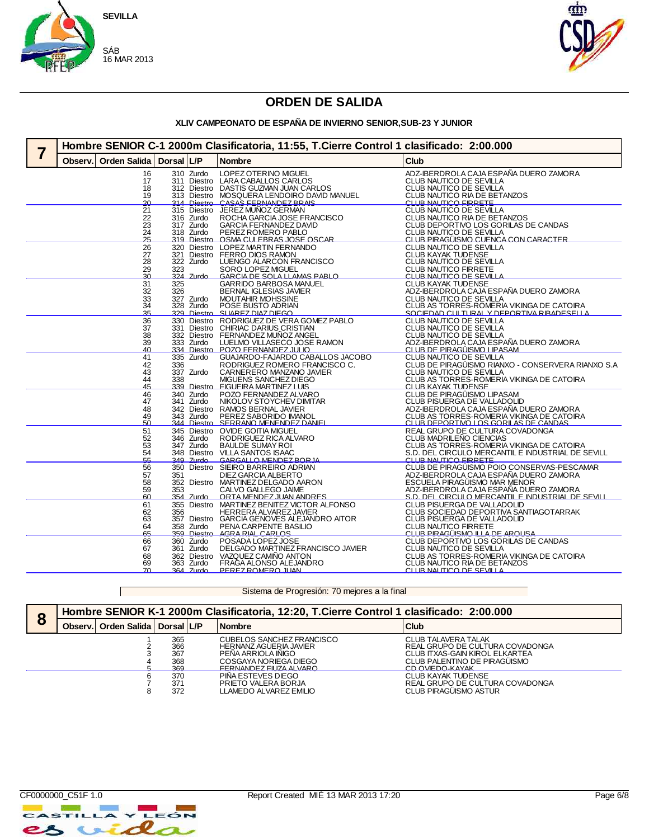



#### **XLIV CAMPEONATO DE ESPAÑA DE INVIERNO SENIOR,SUB-23 Y JUNIOR**

| Hombre SENIOR C-1 2000m Clasificatoria, 11:55, T.Cierre Control 1 clasificado: 2:00.000 |                                         |            |                             |                                                                                                                          |                                                                                                                             |  |  |
|-----------------------------------------------------------------------------------------|-----------------------------------------|------------|-----------------------------|--------------------------------------------------------------------------------------------------------------------------|-----------------------------------------------------------------------------------------------------------------------------|--|--|
| Observ.                                                                                 | <b>Orden Salida</b>                     | Dorsal L/P |                             | <b>Nombre</b>                                                                                                            | Club                                                                                                                        |  |  |
|                                                                                         | 16<br>17                                |            | 310 Zurdo                   | LOPEZ OTERINO MIGUEL<br>311 Diestro LARA CABALLOS CARLOS                                                                 | ADZ-IBERDROLA CAJA ESPAÑA DUERO ZAMORA<br>CLUB NAUTICO DE SEVILLA                                                           |  |  |
|                                                                                         | 18<br>19                                |            |                             | 312 Diestro DASTIS GUZMAN JUAN CARLOS<br>313 Diestro MOSQUERA LENDOIRO DAVID MANUEL<br>314 Diestro CASAS FERNANDEZ BRAIS | CLUB NAUTICO DE SEVILLA<br>CLUB NAUTICO RIA DE BETANZOS<br>CLUB NAUTICO FIRRETE                                             |  |  |
|                                                                                         | <u>20</u><br>21                         |            |                             | 315 Diestro JEREZ MUNOZ GERMAN                                                                                           | CLUB NAUTICO DE SEVILLA                                                                                                     |  |  |
|                                                                                         | 22<br>23                                |            | 316 Zurdo<br>317 Zurdo      | ROCHA GARCIA JOSE FRANCISCO<br>GARCIA FERNANDEZ DAVID                                                                    | CLUB NAUTICO RIA DE BETANZOS<br>CLUB DEPORTIVO LOS GORILAS DE CANDAS                                                        |  |  |
|                                                                                         | 24<br>$\frac{1}{25}$                    |            | 318 Zurdo                   | PEREZ ROMERO PABLO<br>319 Diestro OSMA CULEBRAS JOSE OSCAR                                                               | CLUB NAUTICO DE SEVILLA<br>CLUB PIRAGUISMO CUENCA CON CARACTER                                                              |  |  |
|                                                                                         | 26<br>27                                | 321        |                             | 320 Diestro LOPEZ MARTIN FERNANDO<br>Diestro FERRO DIOS RAMON                                                            | CLUB NAUTICO DE SEVILLA<br>CLUB KAYAK TUDENSE<br>CLUB NAUTICO DE SEVILLA                                                    |  |  |
|                                                                                         | $\overline{28}$<br>29<br>$\frac{1}{30}$ | 323        | 322 Zurdo<br>324 Zurdo      | LUENGO ALARCON FRANCISCO<br>SORO LOPEZ MIGUEL<br>GARCIA DE SOLA LLAMAS PARLO                                             | CLUB NAUTICO FIRRETE<br>CLUB NAUTICO DE SEVILLA                                                                             |  |  |
|                                                                                         | 31                                      | 325        |                             | GARRIDO BARBOSA MANUEL                                                                                                   | <b>CLUB KAYAK TUDENSE</b>                                                                                                   |  |  |
|                                                                                         | 32                                      | 326        | 327 Zurdo                   | <b>BERNAL IGLESIAS JAVIER</b><br>MOUTAHIR MOHSSINE                                                                       | ADZ-IBERDROLA CAJA ESPAÑA DUERO ZAMORA<br>CLUB NAUTICO DE SEVILLA                                                           |  |  |
|                                                                                         | $\frac{33}{34}$<br>35                   |            | 328 Zurdo                   | POSE BUSTO ADRIAN<br>329 Diestro SUAREZ DIAZ DIEGO                                                                       | CLUB AS TORRES-ROMERIA VIKINGA DE CATOIRA<br>SOCIEDAD CULTURAL Y DEPORTIVA RIBADESELLA                                      |  |  |
|                                                                                         | 36                                      |            |                             | 330 Diestro RODRIGUEZ DE VERA GOMEZ PABLO                                                                                | CLUB NAUTICO DE SEVILLA                                                                                                     |  |  |
|                                                                                         | 37                                      |            |                             | 331 Diestro CHIRIAC DARIUS CRISTIAN<br>332 Diestro FERNANDEZ MUÑOZ ANGEL<br>333 Zurdo LUELMO VILLASECO JOSE RAMON        | CLUB NAUTICO DE SEVILLA<br>CLUB NAUTICO DE SEVILLA<br>ADZ-IBERDROLA CAJA ESPAÑA DUERO ZAMORA                                |  |  |
|                                                                                         | 38<br>39<br>40                          |            |                             | 334 Diestro POZO FERNANDEZ JULIO                                                                                         | <u>CLUB DE PIRAGÜISMO LIPASAM</u>                                                                                           |  |  |
|                                                                                         | 41                                      |            | 335 Zurdo                   | GUAJARDO-FAJARDO CABALLOS JACOBO                                                                                         | CLUB NAUTICO DE SEVILLA                                                                                                     |  |  |
|                                                                                         | $^{42}_{43}$                            | 336        | 337 Zurdo                   | RODRIGUEZ ROMERO FRANCISCO C.<br>CARNERERO MANZANO JAVIER                                                                | CLUB DE PIRAGÜISMO RIANXO - CONSERVERA RIANXO S.A<br>CLUB NAUTICO DE SEVILLA                                                |  |  |
|                                                                                         | 44<br>45                                |            |                             | 338 MIGUENS SANCHEZ DIEGO<br>339 Diestro FIGUEIRA MARTINEZ I UIS                                                         | CLUB AS TORRES-ROMERIA VIKINGA DE CATOIRA<br>CLUB KAYAK TUDENSE                                                             |  |  |
|                                                                                         | 46<br>47                                |            | 340 Zurdo<br>341 Zurdo      | POZO FERNANDEZ ALVARO<br>NIKOLOV STOYCHEV DIMITAR                                                                        | CLUB DE PIRAGÜISMO LIPASAM<br>CLUB PISUERGA DE VALLADOLID                                                                   |  |  |
|                                                                                         | 48                                      |            |                             |                                                                                                                          |                                                                                                                             |  |  |
|                                                                                         | 49<br>50                                |            |                             | 342 Diestro RAMOS BERNAL JAVIER<br>343 Zurdo PEREZ SABORIDO IMANOL<br>344 Diestro SERRANO MENENDEZ DANIEL                | ADZ-IBERDROLA CAJA ESPAÑA DUERO ZAMORA<br>CLUB AS TORRES-ROMERIA VIKINGA DE CATOIRA<br>CLUB DEPORTIVO LOS GORILAS DE CANDAS |  |  |
|                                                                                         | 51<br>52                                |            | 346 Zurdo                   | 345 Diestro OVIDE GOITIA MIGUEL<br>RODRIGUEZ RICA ALVARO                                                                 | REAL GRUPO DE CULTURA COVADONGA<br>CLUB MADRILEÑO CIENCIAS                                                                  |  |  |
|                                                                                         | 53                                      |            | 347 Zurdo                   | <b>BAULDE SUMAY ROI</b>                                                                                                  | CLUB AS TORRES-ROMERIA VIKINGA DE CATOIRA<br>S.D. DEL CIRCULO MERCANTIL E INDUSTRIAL DE SEVILL                              |  |  |
|                                                                                         | 54<br>55                                |            | $349 - 71$ urdo             | 348 Diestro VILLA SANTOS ISAAC<br>GARGALLO MENDEZ BOR JA                                                                 | CLUB NAUTICO FIRRETE                                                                                                        |  |  |
|                                                                                         | 56                                      | 351        |                             | 350 Diestro SIEIRO BARREIRO ADRIAN<br>DIEZ GARCIA ALBERTO                                                                | CLUB DE PIRAGÜISMO POIO CONSERVAS-PESCAMAR<br>ADZ-IBERDROLA CAJA ESPAÑA DUERO ZAMORA                                        |  |  |
|                                                                                         | 57<br>58                                |            |                             | 352 Diestro MARTINEZ DELGADO AARON                                                                                       | <b>ESCUELA PIRAGÜISMO MAR MENOR</b>                                                                                         |  |  |
|                                                                                         | 59<br>60                                | 353        | 354 Zurdo                   | CALVO GALLEGO JAIME<br>ORTA MENDEZ JUAN ANDRES                                                                           | ADZ-IBERDROLA CAJA ESPAÑA DUERO ZAMORA<br><u>S.D. DEL CIRCULO MERCANTIL E INDUSTRIAL DE SEVILL</u>                          |  |  |
|                                                                                         | 61                                      | 356        |                             | 355 Diestro MARTINEZ BENITEZ VICTOR ALFONSO<br>HERRERA ALVAREZ JAVIER                                                    | CLUB PISUERGA DE VALLADOLID<br>CLUB SOCIEDAD DEPORTIVA SANTIAGOTARRAK                                                       |  |  |
|                                                                                         | 62<br>63                                |            |                             | 357 Diestro GARCIA GENOVES ALEJANDRO AITOR                                                                               | CLUB PISUERGA DE VALLADOLID                                                                                                 |  |  |
|                                                                                         | 64<br>65                                |            | 358 Zurdo                   | PENA CARPENTE BASILIO<br>359 Diestro AGRA RIAL CARLOS                                                                    | CLUB NAUTICO FIRRETE<br>CLUB PIRAGUISMO ILLA DE AROUSA                                                                      |  |  |
|                                                                                         | 66                                      |            | 360 Zurdo                   | POSADA LOPEZ JOSE                                                                                                        | CLUB DEPORTIVO LOS GORILAS DE CANDAS                                                                                        |  |  |
|                                                                                         | 67<br>68                                |            | 361 Zurdo                   | DELGADO MARTINEZ FRANCISCO JAVIER<br>362 Diestro VAZQUEZ CAMIÑO ANTON                                                    | CLUB NAUTICO DE SEVILLA                                                                                                     |  |  |
|                                                                                         | 69                                      |            | 363 Zurdo<br>$364$ $7$ urdo | FRAGA ALONSO ALEJANDRO<br>PEREZ ROMERO JUAN                                                                              | CLUB AS TORRES-ROMERIA VIKINGA DE CATOIRA<br>CLUB NAUTICO RIA DE BETANZOS<br>CLUB NAUTICO DE SEVILLA                        |  |  |
|                                                                                         |                                         |            |                             |                                                                                                                          |                                                                                                                             |  |  |

Sistema de Progresión: 70 mejores a la final

| 8 |         | Hombre SENIOR K-1 2000m Clasificatoria, 12:20, T.Cierre Control 1 clasificado: 2:00.000 |                                 |  |                                                                                                                               |                                                                                                                                                    |  |  |  |  |
|---|---------|-----------------------------------------------------------------------------------------|---------------------------------|--|-------------------------------------------------------------------------------------------------------------------------------|----------------------------------------------------------------------------------------------------------------------------------------------------|--|--|--|--|
|   | Observ. | Orden Salida   Dorsal   L/P                                                             |                                 |  | <b>Nombre</b>                                                                                                                 | <b>Club</b>                                                                                                                                        |  |  |  |  |
|   |         |                                                                                         | 365<br>366<br>367<br>368<br>369 |  | CUBELOS SANCHEZ FRANCISCO<br>HERNANZ AGÜERIA JAVIER<br>PENA ARRIOLA INIGO<br>COSGAYA NORIEGA DIEGO<br>FERNANDEZ FILIZA ALVARO | <b>CLUB TALAVERA TALAK</b><br>REAL GRUPO DE CULTURA COVADONGA<br>CLUB ITXAS-GAIN KIROL ELKARTEA<br>CLUB PALENTINO DE PIRAGÜISMO<br>CD OVIEDO-KAYAK |  |  |  |  |
|   |         |                                                                                         | 370<br>371<br>372               |  | PIÑA ESTEVES DIEGO<br>PRIETO VALERA BORJA<br>LLAMEDO ALVAREZ EMILIO                                                           | <b>CLUB KAYAK TUDENSE</b><br>REAL GRUPO DE CULTURA COVADONGA<br>CLUB PIRAGÜISMO ASTUR                                                              |  |  |  |  |



 $\mathbb{R}^n$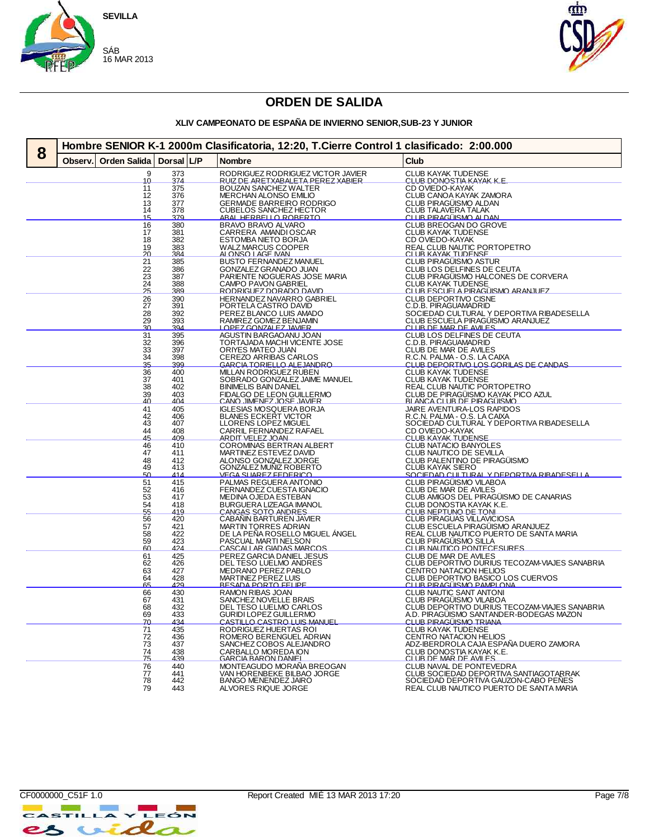



### **XLIV CAMPEONATO DE ESPAÑA DE INVIERNO SENIOR,SUB-23 Y JUNIOR**

| Dorsal L/P<br>Club<br>Observ.<br>Orden Salida<br><b>Nombre</b><br>RODRIGUEZ RODRIGUEZ VICTOR JAVIER<br>RUIZ DE ARETXABALETA PEREZ XABIER<br>CLUB KAYAK TUDENSE<br>CLUB DONOSTIA KAYAK K.E.<br>9<br>373<br>374<br>10<br>375<br>BOUZAN SANCHEZ WALTER<br>CD OVIEDO-KAYAK<br>11<br>376<br>CLUB CANOA KAYAK ZAMORA<br>12<br>MERCHAN ALONSO EMILIO<br>CLUB PIRAGÜISMO ALDAN<br><b>GERMADE BARREIRO RODRIGO</b><br>13<br>377<br><b>CUBELOS SANCHEZ HECTOR</b><br><b>CLUB TALAVERA TALAK</b><br>378<br>14<br>CLUB PIRAGÜISMO ALDAN<br>370<br>ABAL HERBELLO ROBERTO<br>15<br>380<br>16<br><b>BRAVO BRAVO ALVARO</b><br>381<br>17<br>CARRERA AMANDI OSCAR<br>ESTOMBA NIETO BORJA<br>CLUB KAYAK TUDENSE<br>CD OVIEDO-KAYAK<br>382<br>18<br>383<br>19<br>REAL CLUB NAUTIC PORTOPETRO<br>CLUB KAYAK TUDENSE<br>WALZ MARCUS COOPER<br>ALONSO LAGE IVAN<br><u> 20</u><br>384<br>21<br>385<br><b>BUSTO FERNANDEZ MANUEL</b><br>CLUB PIRAGÜISMO ASTUR<br>22<br>23<br>24<br>25<br>CLUB LOS DELFINES DE CEUTA<br>386<br>GONZALEZ GRANADO JUAN<br>387<br>CLUB PIRAGÜISMO HALCONES DE CORVERA<br>PARIENTE NOGUERAS JOSE MARIA<br>CLUB KAYAK TUDENSE<br>CLUB KAYAK TUDENSE<br>388<br>CAMPO PAVON GABRIEL<br>RODRIGUEZ DORADO DAVID<br>389<br>$\frac{26}{27}$<br>390<br>HERNANDEZ NAVARRO GABRIEL<br>CLUB DEPORTIVO CISNE<br>391<br>PORTELA CASTRO DAVID<br>C.D.B. PIRAGUAMADRID<br>28<br>29<br>392<br>PEREZ BLANCO LUIS AMADO<br>SOCIEDAD CULTURAL Y DEPORTIVA RIBADESELLA<br>CLUB ESCUELA PIRAGUISMO ARANJUEZ<br>RAMIREZ GOMEZ BENJAMIN<br>393<br>$\Omega$<br>CLUB DE MAR DE AVILES<br>304<br>LOPEZ GONZALEZ JAVIER<br>$\frac{31}{32}$<br>AGUSTIN BARGAOANU JOAN<br>CLUB LOS DELFINES DE CEUTA<br>395<br>396<br>TORTAJADA MACHI VICENTE JOSE<br>C.D.B. PIRAGUAMADRID<br>$\frac{33}{34}$<br>CLUB DE MAR DE AVILES<br>397<br>ORIYES MATEO JUAN<br>398<br>CEREZO ARRIBAS CARLOS<br>R.C.N. PALMA - O.S. LA CAIXA<br>35<br>300<br>GARCIA TORIELLO ALE IANDRO<br>CLUB DEPORTIVO LOS GORILAS DE CANDAS<br>36<br>400<br>MILLAN RODRIGUEZ RUBEN<br><b>CLUB KAYAK TUDENSE</b><br>37<br>38<br>401<br>SOBRADO GONZALEZ JAIME MANUEL<br>CLUB KAYAK TUDENSE<br>REAL CLUB NAUTIC PORTOPETRO<br>402<br><b>BINIMELIS BAIN DANIEL</b><br>39<br>403<br>FIDALGO DE LEON GUILLERMO<br>CANO JIMENEZ JOSE JAVIER<br>CLUB DE PIRAGÜISMO KAYAK PICO AZUL<br>40<br>BLANCA CLUB DE PIRAGÜISMO<br>404<br>41<br>405<br>IGLESIAS MOSQUERA BORJA<br>BLANES ECKERT VICTOR<br>JAIRE AVENTURA-LOS RAPIDOS<br>42<br>R.C.N. PALMA - O.S. LA CAIXA<br>406<br>43<br>407<br>LLORENS LOPEZ MIGUEL<br>SOCIEDAD CULTURAL Y DEPORTIVA RIBADESELLA<br>$\frac{44}{45}$<br>CD OVIEDO-KAYAK<br>408<br>CARRIL FERNANDEZ RAFAEL<br>CLUB KAYAK TUDENSE<br>409<br><b>ARDIT VELEZ JOAN</b><br>46<br>COROMINAS BERTRAN ALBERT<br>CLUB NATACIO BANYOLES<br>410<br>47<br>411<br>MARTINEZ ESTEVEZ DAVID<br>CLUB NAUTICO DE SEVILLA<br>48<br>49<br>ALONSO GONZALEZ JORGE<br>GONZALEZ MUÑIZ ROBERTO<br>CLUB PALENTINO DE PIRAGÜISMO<br>412<br>413<br><b>CLUB KAYAK SIERO</b><br>50<br>414<br>VEGA SUAREZ FEDERICO<br><u>SOCIEDAD CULTURAL Y DEPORTIVA RIBADESELLA</u><br>$\overline{51}$<br>415<br>PALMAS REGUERA ANTONIO<br>CLUB PIRAGÜISMO VILABOA<br>52<br>53<br>54<br>55<br>FERNANDEZ CUESTA IGNACIO<br>CLUB DE MAR DE AVILES<br>416<br>417<br>MEDINA OJEDA ESTEBAN<br>CLUB AMIGOS DEL PIRAGÜISMO DE CANARIAS<br>418<br>BURGUERA LIZEAGA IMANOL<br>CLUB DONOSTIA KAYAK K.E.<br>CLUB NEPTUNO DE TONI<br>CANGAS SOTO ANDRES<br>419<br>56<br>57<br>58<br>420<br>CABAÑIN BARTUREN JAVIER<br>CLUB PIRAGUAS VILLAVICIOSA<br>CLUB ESCUELA PIRAGUISMO ARANJUEZ<br>421<br>422<br>MARTIN TORRES ADRIAN<br>DE LA PEÑA ROSELLO MIGUEL ÁNGEL<br>REAL CLUB NAUTICO PUERTO DE SANTA MARIA<br>59<br>423<br>424<br>PASCUAL MARTI NELSON<br><b>CLUB PIRAGÜISMO SILLA</b><br>60<br>CASCALLAR GIADAS MARCOS<br>CLUB NAUTICO PONTECESURES<br>CLUB DE MAR DE AVILES<br>61<br>425<br>426<br>PEREZ GARCIA DANIEL JESUS<br>62<br>DEL TESO LUELMO ANDRES<br>CLUB DEPORTIVO DURIUS TECOZAM-VIAJES SANABRIA<br>63<br>427<br>428<br>MEDRANO PEREZ PABLO<br>CENTRO NATACION HELIOS<br>64<br>MARTINEZ PEREZ LUIS<br>CLUB DEPORTIVO BASICO LOS CUERVOS<br>CLUB PIRAGUISMO PAMPLONA<br>65<br><u>429</u><br>RESADA PORTO FELIPE<br>66<br>67<br>430<br>RAMON RIBAS JOAN<br>CLUB NAUTIC SANT ANTONI<br>CLUB PIRAGÜISMO VILABOA<br>431<br>SANCHEZ NOVELLE BRAIS<br>68<br>CLUB DEPORTIVO DURIUS TECOZAM-VIAJES SANABRIA<br>432<br>DEL TESO LUELMO CARLOS<br>$\overline{69}$<br>433<br>A.D. PIRAGÜISMO SANTANDER-BODEGAS MAZON<br>GURIDI LOPEZ GUILLERMO<br><u>CLUB PIRAGÜISMO TRIANA</u><br>434<br>CASTILLO CASTRO LLIIS MANUEL<br><u>7Ω</u><br>71<br>435<br><b>CLUB KAYAK TUDENSE</b><br>RODRIGUEZ HUERTAS ROI<br>436<br>72<br>ROMERO BERENGUEL ADRIAN<br>CENTRO NATACION HELIOS<br>437<br>73<br>ADZ-IBERDROLA CAJA ESPAÑA DUERO ZAMORA<br>SANCHEZ COBOS ALEJANDRO<br>74<br>438<br>CARBALLO MOREDA ION<br>CLUB DONOSTIA KAYAK K.E.<br>CLUB DE MAR DE AVILES<br>75<br>439<br><b>GARCIA BARON DANIEL</b><br>76<br>440<br>MONTEAGUDO MORANA BREOGAN<br>CLUB NAVAL DE PONTEVEDRA<br>VAN HORENBEKE BILBAO JORGE<br>CLUB SOCIEDAD DEPORTIVA SANTIAGOTARRAK<br>441<br>77<br>442<br><b>BANGO MENENDEZ JAIRO</b><br>SOCIEDAD DEPORTIVA GAUZON-CABO PEÑES<br>78<br>79<br>443<br>REAL CLUB NAUTICO PUERTO DE SANTA MARIA<br>ALVORES RIQUE JORGE | 8 | Hombre SENIOR K-1 2000m Clasificatoria, 12:20, T.Cierre Control 1 clasificado: 2:00.000 |  |  |  |  |  |  |  |
|-----------------------------------------------------------------------------------------------------------------------------------------------------------------------------------------------------------------------------------------------------------------------------------------------------------------------------------------------------------------------------------------------------------------------------------------------------------------------------------------------------------------------------------------------------------------------------------------------------------------------------------------------------------------------------------------------------------------------------------------------------------------------------------------------------------------------------------------------------------------------------------------------------------------------------------------------------------------------------------------------------------------------------------------------------------------------------------------------------------------------------------------------------------------------------------------------------------------------------------------------------------------------------------------------------------------------------------------------------------------------------------------------------------------------------------------------------------------------------------------------------------------------------------------------------------------------------------------------------------------------------------------------------------------------------------------------------------------------------------------------------------------------------------------------------------------------------------------------------------------------------------------------------------------------------------------------------------------------------------------------------------------------------------------------------------------------------------------------------------------------------------------------------------------------------------------------------------------------------------------------------------------------------------------------------------------------------------------------------------------------------------------------------------------------------------------------------------------------------------------------------------------------------------------------------------------------------------------------------------------------------------------------------------------------------------------------------------------------------------------------------------------------------------------------------------------------------------------------------------------------------------------------------------------------------------------------------------------------------------------------------------------------------------------------------------------------------------------------------------------------------------------------------------------------------------------------------------------------------------------------------------------------------------------------------------------------------------------------------------------------------------------------------------------------------------------------------------------------------------------------------------------------------------------------------------------------------------------------------------------------------------------------------------------------------------------------------------------------------------------------------------------------------------------------------------------------------------------------------------------------------------------------------------------------------------------------------------------------------------------------------------------------------------------------------------------------------------------------------------------------------------------------------------------------------------------------------------------------------------------------------------------------------------------------------------------------------------------------------------------------------------------------------------------------------------------------------------------------------------------------------------------------------------------------------------------------------------------------------------------------------------------------------------------------------------------------------------------------------------------------------------------------------------------------------------------------------------------------------------------------------------------------------------------------------------------------------------------------------------------------------------------------------------------------------------------------------------------------------------------------------------------------------------------------------------------------------------------------------------------------------------------------------------------------------------------------|---|-----------------------------------------------------------------------------------------|--|--|--|--|--|--|--|
|                                                                                                                                                                                                                                                                                                                                                                                                                                                                                                                                                                                                                                                                                                                                                                                                                                                                                                                                                                                                                                                                                                                                                                                                                                                                                                                                                                                                                                                                                                                                                                                                                                                                                                                                                                                                                                                                                                                                                                                                                                                                                                                                                                                                                                                                                                                                                                                                                                                                                                                                                                                                                                                                                                                                                                                                                                                                                                                                                                                                                                                                                                                                                                                                                                                                                                                                                                                                                                                                                                                                                                                                                                                                                                                                                                                                                                                                                                                                                                                                                                                                                                                                                                                                                                                                                                                                                                                                                                                                                                                                                                                                                                                                                                                                                                                                                                                                                                                                                                                                                                                                                                                                                                                                                                                                                                                       |   |                                                                                         |  |  |  |  |  |  |  |
|                                                                                                                                                                                                                                                                                                                                                                                                                                                                                                                                                                                                                                                                                                                                                                                                                                                                                                                                                                                                                                                                                                                                                                                                                                                                                                                                                                                                                                                                                                                                                                                                                                                                                                                                                                                                                                                                                                                                                                                                                                                                                                                                                                                                                                                                                                                                                                                                                                                                                                                                                                                                                                                                                                                                                                                                                                                                                                                                                                                                                                                                                                                                                                                                                                                                                                                                                                                                                                                                                                                                                                                                                                                                                                                                                                                                                                                                                                                                                                                                                                                                                                                                                                                                                                                                                                                                                                                                                                                                                                                                                                                                                                                                                                                                                                                                                                                                                                                                                                                                                                                                                                                                                                                                                                                                                                                       |   |                                                                                         |  |  |  |  |  |  |  |
|                                                                                                                                                                                                                                                                                                                                                                                                                                                                                                                                                                                                                                                                                                                                                                                                                                                                                                                                                                                                                                                                                                                                                                                                                                                                                                                                                                                                                                                                                                                                                                                                                                                                                                                                                                                                                                                                                                                                                                                                                                                                                                                                                                                                                                                                                                                                                                                                                                                                                                                                                                                                                                                                                                                                                                                                                                                                                                                                                                                                                                                                                                                                                                                                                                                                                                                                                                                                                                                                                                                                                                                                                                                                                                                                                                                                                                                                                                                                                                                                                                                                                                                                                                                                                                                                                                                                                                                                                                                                                                                                                                                                                                                                                                                                                                                                                                                                                                                                                                                                                                                                                                                                                                                                                                                                                                                       |   |                                                                                         |  |  |  |  |  |  |  |
|                                                                                                                                                                                                                                                                                                                                                                                                                                                                                                                                                                                                                                                                                                                                                                                                                                                                                                                                                                                                                                                                                                                                                                                                                                                                                                                                                                                                                                                                                                                                                                                                                                                                                                                                                                                                                                                                                                                                                                                                                                                                                                                                                                                                                                                                                                                                                                                                                                                                                                                                                                                                                                                                                                                                                                                                                                                                                                                                                                                                                                                                                                                                                                                                                                                                                                                                                                                                                                                                                                                                                                                                                                                                                                                                                                                                                                                                                                                                                                                                                                                                                                                                                                                                                                                                                                                                                                                                                                                                                                                                                                                                                                                                                                                                                                                                                                                                                                                                                                                                                                                                                                                                                                                                                                                                                                                       |   |                                                                                         |  |  |  |  |  |  |  |
|                                                                                                                                                                                                                                                                                                                                                                                                                                                                                                                                                                                                                                                                                                                                                                                                                                                                                                                                                                                                                                                                                                                                                                                                                                                                                                                                                                                                                                                                                                                                                                                                                                                                                                                                                                                                                                                                                                                                                                                                                                                                                                                                                                                                                                                                                                                                                                                                                                                                                                                                                                                                                                                                                                                                                                                                                                                                                                                                                                                                                                                                                                                                                                                                                                                                                                                                                                                                                                                                                                                                                                                                                                                                                                                                                                                                                                                                                                                                                                                                                                                                                                                                                                                                                                                                                                                                                                                                                                                                                                                                                                                                                                                                                                                                                                                                                                                                                                                                                                                                                                                                                                                                                                                                                                                                                                                       |   |                                                                                         |  |  |  |  |  |  |  |
|                                                                                                                                                                                                                                                                                                                                                                                                                                                                                                                                                                                                                                                                                                                                                                                                                                                                                                                                                                                                                                                                                                                                                                                                                                                                                                                                                                                                                                                                                                                                                                                                                                                                                                                                                                                                                                                                                                                                                                                                                                                                                                                                                                                                                                                                                                                                                                                                                                                                                                                                                                                                                                                                                                                                                                                                                                                                                                                                                                                                                                                                                                                                                                                                                                                                                                                                                                                                                                                                                                                                                                                                                                                                                                                                                                                                                                                                                                                                                                                                                                                                                                                                                                                                                                                                                                                                                                                                                                                                                                                                                                                                                                                                                                                                                                                                                                                                                                                                                                                                                                                                                                                                                                                                                                                                                                                       |   |                                                                                         |  |  |  |  |  |  |  |
|                                                                                                                                                                                                                                                                                                                                                                                                                                                                                                                                                                                                                                                                                                                                                                                                                                                                                                                                                                                                                                                                                                                                                                                                                                                                                                                                                                                                                                                                                                                                                                                                                                                                                                                                                                                                                                                                                                                                                                                                                                                                                                                                                                                                                                                                                                                                                                                                                                                                                                                                                                                                                                                                                                                                                                                                                                                                                                                                                                                                                                                                                                                                                                                                                                                                                                                                                                                                                                                                                                                                                                                                                                                                                                                                                                                                                                                                                                                                                                                                                                                                                                                                                                                                                                                                                                                                                                                                                                                                                                                                                                                                                                                                                                                                                                                                                                                                                                                                                                                                                                                                                                                                                                                                                                                                                                                       |   |                                                                                         |  |  |  |  |  |  |  |
|                                                                                                                                                                                                                                                                                                                                                                                                                                                                                                                                                                                                                                                                                                                                                                                                                                                                                                                                                                                                                                                                                                                                                                                                                                                                                                                                                                                                                                                                                                                                                                                                                                                                                                                                                                                                                                                                                                                                                                                                                                                                                                                                                                                                                                                                                                                                                                                                                                                                                                                                                                                                                                                                                                                                                                                                                                                                                                                                                                                                                                                                                                                                                                                                                                                                                                                                                                                                                                                                                                                                                                                                                                                                                                                                                                                                                                                                                                                                                                                                                                                                                                                                                                                                                                                                                                                                                                                                                                                                                                                                                                                                                                                                                                                                                                                                                                                                                                                                                                                                                                                                                                                                                                                                                                                                                                                       |   |                                                                                         |  |  |  |  |  |  |  |
|                                                                                                                                                                                                                                                                                                                                                                                                                                                                                                                                                                                                                                                                                                                                                                                                                                                                                                                                                                                                                                                                                                                                                                                                                                                                                                                                                                                                                                                                                                                                                                                                                                                                                                                                                                                                                                                                                                                                                                                                                                                                                                                                                                                                                                                                                                                                                                                                                                                                                                                                                                                                                                                                                                                                                                                                                                                                                                                                                                                                                                                                                                                                                                                                                                                                                                                                                                                                                                                                                                                                                                                                                                                                                                                                                                                                                                                                                                                                                                                                                                                                                                                                                                                                                                                                                                                                                                                                                                                                                                                                                                                                                                                                                                                                                                                                                                                                                                                                                                                                                                                                                                                                                                                                                                                                                                                       |   |                                                                                         |  |  |  |  |  |  |  |
|                                                                                                                                                                                                                                                                                                                                                                                                                                                                                                                                                                                                                                                                                                                                                                                                                                                                                                                                                                                                                                                                                                                                                                                                                                                                                                                                                                                                                                                                                                                                                                                                                                                                                                                                                                                                                                                                                                                                                                                                                                                                                                                                                                                                                                                                                                                                                                                                                                                                                                                                                                                                                                                                                                                                                                                                                                                                                                                                                                                                                                                                                                                                                                                                                                                                                                                                                                                                                                                                                                                                                                                                                                                                                                                                                                                                                                                                                                                                                                                                                                                                                                                                                                                                                                                                                                                                                                                                                                                                                                                                                                                                                                                                                                                                                                                                                                                                                                                                                                                                                                                                                                                                                                                                                                                                                                                       |   |                                                                                         |  |  |  |  |  |  |  |
|                                                                                                                                                                                                                                                                                                                                                                                                                                                                                                                                                                                                                                                                                                                                                                                                                                                                                                                                                                                                                                                                                                                                                                                                                                                                                                                                                                                                                                                                                                                                                                                                                                                                                                                                                                                                                                                                                                                                                                                                                                                                                                                                                                                                                                                                                                                                                                                                                                                                                                                                                                                                                                                                                                                                                                                                                                                                                                                                                                                                                                                                                                                                                                                                                                                                                                                                                                                                                                                                                                                                                                                                                                                                                                                                                                                                                                                                                                                                                                                                                                                                                                                                                                                                                                                                                                                                                                                                                                                                                                                                                                                                                                                                                                                                                                                                                                                                                                                                                                                                                                                                                                                                                                                                                                                                                                                       |   |                                                                                         |  |  |  |  |  |  |  |
|                                                                                                                                                                                                                                                                                                                                                                                                                                                                                                                                                                                                                                                                                                                                                                                                                                                                                                                                                                                                                                                                                                                                                                                                                                                                                                                                                                                                                                                                                                                                                                                                                                                                                                                                                                                                                                                                                                                                                                                                                                                                                                                                                                                                                                                                                                                                                                                                                                                                                                                                                                                                                                                                                                                                                                                                                                                                                                                                                                                                                                                                                                                                                                                                                                                                                                                                                                                                                                                                                                                                                                                                                                                                                                                                                                                                                                                                                                                                                                                                                                                                                                                                                                                                                                                                                                                                                                                                                                                                                                                                                                                                                                                                                                                                                                                                                                                                                                                                                                                                                                                                                                                                                                                                                                                                                                                       |   |                                                                                         |  |  |  |  |  |  |  |
|                                                                                                                                                                                                                                                                                                                                                                                                                                                                                                                                                                                                                                                                                                                                                                                                                                                                                                                                                                                                                                                                                                                                                                                                                                                                                                                                                                                                                                                                                                                                                                                                                                                                                                                                                                                                                                                                                                                                                                                                                                                                                                                                                                                                                                                                                                                                                                                                                                                                                                                                                                                                                                                                                                                                                                                                                                                                                                                                                                                                                                                                                                                                                                                                                                                                                                                                                                                                                                                                                                                                                                                                                                                                                                                                                                                                                                                                                                                                                                                                                                                                                                                                                                                                                                                                                                                                                                                                                                                                                                                                                                                                                                                                                                                                                                                                                                                                                                                                                                                                                                                                                                                                                                                                                                                                                                                       |   |                                                                                         |  |  |  |  |  |  |  |
|                                                                                                                                                                                                                                                                                                                                                                                                                                                                                                                                                                                                                                                                                                                                                                                                                                                                                                                                                                                                                                                                                                                                                                                                                                                                                                                                                                                                                                                                                                                                                                                                                                                                                                                                                                                                                                                                                                                                                                                                                                                                                                                                                                                                                                                                                                                                                                                                                                                                                                                                                                                                                                                                                                                                                                                                                                                                                                                                                                                                                                                                                                                                                                                                                                                                                                                                                                                                                                                                                                                                                                                                                                                                                                                                                                                                                                                                                                                                                                                                                                                                                                                                                                                                                                                                                                                                                                                                                                                                                                                                                                                                                                                                                                                                                                                                                                                                                                                                                                                                                                                                                                                                                                                                                                                                                                                       |   |                                                                                         |  |  |  |  |  |  |  |
|                                                                                                                                                                                                                                                                                                                                                                                                                                                                                                                                                                                                                                                                                                                                                                                                                                                                                                                                                                                                                                                                                                                                                                                                                                                                                                                                                                                                                                                                                                                                                                                                                                                                                                                                                                                                                                                                                                                                                                                                                                                                                                                                                                                                                                                                                                                                                                                                                                                                                                                                                                                                                                                                                                                                                                                                                                                                                                                                                                                                                                                                                                                                                                                                                                                                                                                                                                                                                                                                                                                                                                                                                                                                                                                                                                                                                                                                                                                                                                                                                                                                                                                                                                                                                                                                                                                                                                                                                                                                                                                                                                                                                                                                                                                                                                                                                                                                                                                                                                                                                                                                                                                                                                                                                                                                                                                       |   |                                                                                         |  |  |  |  |  |  |  |
|                                                                                                                                                                                                                                                                                                                                                                                                                                                                                                                                                                                                                                                                                                                                                                                                                                                                                                                                                                                                                                                                                                                                                                                                                                                                                                                                                                                                                                                                                                                                                                                                                                                                                                                                                                                                                                                                                                                                                                                                                                                                                                                                                                                                                                                                                                                                                                                                                                                                                                                                                                                                                                                                                                                                                                                                                                                                                                                                                                                                                                                                                                                                                                                                                                                                                                                                                                                                                                                                                                                                                                                                                                                                                                                                                                                                                                                                                                                                                                                                                                                                                                                                                                                                                                                                                                                                                                                                                                                                                                                                                                                                                                                                                                                                                                                                                                                                                                                                                                                                                                                                                                                                                                                                                                                                                                                       |   |                                                                                         |  |  |  |  |  |  |  |
|                                                                                                                                                                                                                                                                                                                                                                                                                                                                                                                                                                                                                                                                                                                                                                                                                                                                                                                                                                                                                                                                                                                                                                                                                                                                                                                                                                                                                                                                                                                                                                                                                                                                                                                                                                                                                                                                                                                                                                                                                                                                                                                                                                                                                                                                                                                                                                                                                                                                                                                                                                                                                                                                                                                                                                                                                                                                                                                                                                                                                                                                                                                                                                                                                                                                                                                                                                                                                                                                                                                                                                                                                                                                                                                                                                                                                                                                                                                                                                                                                                                                                                                                                                                                                                                                                                                                                                                                                                                                                                                                                                                                                                                                                                                                                                                                                                                                                                                                                                                                                                                                                                                                                                                                                                                                                                                       |   |                                                                                         |  |  |  |  |  |  |  |
|                                                                                                                                                                                                                                                                                                                                                                                                                                                                                                                                                                                                                                                                                                                                                                                                                                                                                                                                                                                                                                                                                                                                                                                                                                                                                                                                                                                                                                                                                                                                                                                                                                                                                                                                                                                                                                                                                                                                                                                                                                                                                                                                                                                                                                                                                                                                                                                                                                                                                                                                                                                                                                                                                                                                                                                                                                                                                                                                                                                                                                                                                                                                                                                                                                                                                                                                                                                                                                                                                                                                                                                                                                                                                                                                                                                                                                                                                                                                                                                                                                                                                                                                                                                                                                                                                                                                                                                                                                                                                                                                                                                                                                                                                                                                                                                                                                                                                                                                                                                                                                                                                                                                                                                                                                                                                                                       |   |                                                                                         |  |  |  |  |  |  |  |
|                                                                                                                                                                                                                                                                                                                                                                                                                                                                                                                                                                                                                                                                                                                                                                                                                                                                                                                                                                                                                                                                                                                                                                                                                                                                                                                                                                                                                                                                                                                                                                                                                                                                                                                                                                                                                                                                                                                                                                                                                                                                                                                                                                                                                                                                                                                                                                                                                                                                                                                                                                                                                                                                                                                                                                                                                                                                                                                                                                                                                                                                                                                                                                                                                                                                                                                                                                                                                                                                                                                                                                                                                                                                                                                                                                                                                                                                                                                                                                                                                                                                                                                                                                                                                                                                                                                                                                                                                                                                                                                                                                                                                                                                                                                                                                                                                                                                                                                                                                                                                                                                                                                                                                                                                                                                                                                       |   |                                                                                         |  |  |  |  |  |  |  |
|                                                                                                                                                                                                                                                                                                                                                                                                                                                                                                                                                                                                                                                                                                                                                                                                                                                                                                                                                                                                                                                                                                                                                                                                                                                                                                                                                                                                                                                                                                                                                                                                                                                                                                                                                                                                                                                                                                                                                                                                                                                                                                                                                                                                                                                                                                                                                                                                                                                                                                                                                                                                                                                                                                                                                                                                                                                                                                                                                                                                                                                                                                                                                                                                                                                                                                                                                                                                                                                                                                                                                                                                                                                                                                                                                                                                                                                                                                                                                                                                                                                                                                                                                                                                                                                                                                                                                                                                                                                                                                                                                                                                                                                                                                                                                                                                                                                                                                                                                                                                                                                                                                                                                                                                                                                                                                                       |   |                                                                                         |  |  |  |  |  |  |  |
|                                                                                                                                                                                                                                                                                                                                                                                                                                                                                                                                                                                                                                                                                                                                                                                                                                                                                                                                                                                                                                                                                                                                                                                                                                                                                                                                                                                                                                                                                                                                                                                                                                                                                                                                                                                                                                                                                                                                                                                                                                                                                                                                                                                                                                                                                                                                                                                                                                                                                                                                                                                                                                                                                                                                                                                                                                                                                                                                                                                                                                                                                                                                                                                                                                                                                                                                                                                                                                                                                                                                                                                                                                                                                                                                                                                                                                                                                                                                                                                                                                                                                                                                                                                                                                                                                                                                                                                                                                                                                                                                                                                                                                                                                                                                                                                                                                                                                                                                                                                                                                                                                                                                                                                                                                                                                                                       |   |                                                                                         |  |  |  |  |  |  |  |
|                                                                                                                                                                                                                                                                                                                                                                                                                                                                                                                                                                                                                                                                                                                                                                                                                                                                                                                                                                                                                                                                                                                                                                                                                                                                                                                                                                                                                                                                                                                                                                                                                                                                                                                                                                                                                                                                                                                                                                                                                                                                                                                                                                                                                                                                                                                                                                                                                                                                                                                                                                                                                                                                                                                                                                                                                                                                                                                                                                                                                                                                                                                                                                                                                                                                                                                                                                                                                                                                                                                                                                                                                                                                                                                                                                                                                                                                                                                                                                                                                                                                                                                                                                                                                                                                                                                                                                                                                                                                                                                                                                                                                                                                                                                                                                                                                                                                                                                                                                                                                                                                                                                                                                                                                                                                                                                       |   |                                                                                         |  |  |  |  |  |  |  |
|                                                                                                                                                                                                                                                                                                                                                                                                                                                                                                                                                                                                                                                                                                                                                                                                                                                                                                                                                                                                                                                                                                                                                                                                                                                                                                                                                                                                                                                                                                                                                                                                                                                                                                                                                                                                                                                                                                                                                                                                                                                                                                                                                                                                                                                                                                                                                                                                                                                                                                                                                                                                                                                                                                                                                                                                                                                                                                                                                                                                                                                                                                                                                                                                                                                                                                                                                                                                                                                                                                                                                                                                                                                                                                                                                                                                                                                                                                                                                                                                                                                                                                                                                                                                                                                                                                                                                                                                                                                                                                                                                                                                                                                                                                                                                                                                                                                                                                                                                                                                                                                                                                                                                                                                                                                                                                                       |   |                                                                                         |  |  |  |  |  |  |  |
|                                                                                                                                                                                                                                                                                                                                                                                                                                                                                                                                                                                                                                                                                                                                                                                                                                                                                                                                                                                                                                                                                                                                                                                                                                                                                                                                                                                                                                                                                                                                                                                                                                                                                                                                                                                                                                                                                                                                                                                                                                                                                                                                                                                                                                                                                                                                                                                                                                                                                                                                                                                                                                                                                                                                                                                                                                                                                                                                                                                                                                                                                                                                                                                                                                                                                                                                                                                                                                                                                                                                                                                                                                                                                                                                                                                                                                                                                                                                                                                                                                                                                                                                                                                                                                                                                                                                                                                                                                                                                                                                                                                                                                                                                                                                                                                                                                                                                                                                                                                                                                                                                                                                                                                                                                                                                                                       |   |                                                                                         |  |  |  |  |  |  |  |
|                                                                                                                                                                                                                                                                                                                                                                                                                                                                                                                                                                                                                                                                                                                                                                                                                                                                                                                                                                                                                                                                                                                                                                                                                                                                                                                                                                                                                                                                                                                                                                                                                                                                                                                                                                                                                                                                                                                                                                                                                                                                                                                                                                                                                                                                                                                                                                                                                                                                                                                                                                                                                                                                                                                                                                                                                                                                                                                                                                                                                                                                                                                                                                                                                                                                                                                                                                                                                                                                                                                                                                                                                                                                                                                                                                                                                                                                                                                                                                                                                                                                                                                                                                                                                                                                                                                                                                                                                                                                                                                                                                                                                                                                                                                                                                                                                                                                                                                                                                                                                                                                                                                                                                                                                                                                                                                       |   |                                                                                         |  |  |  |  |  |  |  |
|                                                                                                                                                                                                                                                                                                                                                                                                                                                                                                                                                                                                                                                                                                                                                                                                                                                                                                                                                                                                                                                                                                                                                                                                                                                                                                                                                                                                                                                                                                                                                                                                                                                                                                                                                                                                                                                                                                                                                                                                                                                                                                                                                                                                                                                                                                                                                                                                                                                                                                                                                                                                                                                                                                                                                                                                                                                                                                                                                                                                                                                                                                                                                                                                                                                                                                                                                                                                                                                                                                                                                                                                                                                                                                                                                                                                                                                                                                                                                                                                                                                                                                                                                                                                                                                                                                                                                                                                                                                                                                                                                                                                                                                                                                                                                                                                                                                                                                                                                                                                                                                                                                                                                                                                                                                                                                                       |   |                                                                                         |  |  |  |  |  |  |  |
|                                                                                                                                                                                                                                                                                                                                                                                                                                                                                                                                                                                                                                                                                                                                                                                                                                                                                                                                                                                                                                                                                                                                                                                                                                                                                                                                                                                                                                                                                                                                                                                                                                                                                                                                                                                                                                                                                                                                                                                                                                                                                                                                                                                                                                                                                                                                                                                                                                                                                                                                                                                                                                                                                                                                                                                                                                                                                                                                                                                                                                                                                                                                                                                                                                                                                                                                                                                                                                                                                                                                                                                                                                                                                                                                                                                                                                                                                                                                                                                                                                                                                                                                                                                                                                                                                                                                                                                                                                                                                                                                                                                                                                                                                                                                                                                                                                                                                                                                                                                                                                                                                                                                                                                                                                                                                                                       |   |                                                                                         |  |  |  |  |  |  |  |
|                                                                                                                                                                                                                                                                                                                                                                                                                                                                                                                                                                                                                                                                                                                                                                                                                                                                                                                                                                                                                                                                                                                                                                                                                                                                                                                                                                                                                                                                                                                                                                                                                                                                                                                                                                                                                                                                                                                                                                                                                                                                                                                                                                                                                                                                                                                                                                                                                                                                                                                                                                                                                                                                                                                                                                                                                                                                                                                                                                                                                                                                                                                                                                                                                                                                                                                                                                                                                                                                                                                                                                                                                                                                                                                                                                                                                                                                                                                                                                                                                                                                                                                                                                                                                                                                                                                                                                                                                                                                                                                                                                                                                                                                                                                                                                                                                                                                                                                                                                                                                                                                                                                                                                                                                                                                                                                       |   |                                                                                         |  |  |  |  |  |  |  |
|                                                                                                                                                                                                                                                                                                                                                                                                                                                                                                                                                                                                                                                                                                                                                                                                                                                                                                                                                                                                                                                                                                                                                                                                                                                                                                                                                                                                                                                                                                                                                                                                                                                                                                                                                                                                                                                                                                                                                                                                                                                                                                                                                                                                                                                                                                                                                                                                                                                                                                                                                                                                                                                                                                                                                                                                                                                                                                                                                                                                                                                                                                                                                                                                                                                                                                                                                                                                                                                                                                                                                                                                                                                                                                                                                                                                                                                                                                                                                                                                                                                                                                                                                                                                                                                                                                                                                                                                                                                                                                                                                                                                                                                                                                                                                                                                                                                                                                                                                                                                                                                                                                                                                                                                                                                                                                                       |   |                                                                                         |  |  |  |  |  |  |  |
|                                                                                                                                                                                                                                                                                                                                                                                                                                                                                                                                                                                                                                                                                                                                                                                                                                                                                                                                                                                                                                                                                                                                                                                                                                                                                                                                                                                                                                                                                                                                                                                                                                                                                                                                                                                                                                                                                                                                                                                                                                                                                                                                                                                                                                                                                                                                                                                                                                                                                                                                                                                                                                                                                                                                                                                                                                                                                                                                                                                                                                                                                                                                                                                                                                                                                                                                                                                                                                                                                                                                                                                                                                                                                                                                                                                                                                                                                                                                                                                                                                                                                                                                                                                                                                                                                                                                                                                                                                                                                                                                                                                                                                                                                                                                                                                                                                                                                                                                                                                                                                                                                                                                                                                                                                                                                                                       |   |                                                                                         |  |  |  |  |  |  |  |
|                                                                                                                                                                                                                                                                                                                                                                                                                                                                                                                                                                                                                                                                                                                                                                                                                                                                                                                                                                                                                                                                                                                                                                                                                                                                                                                                                                                                                                                                                                                                                                                                                                                                                                                                                                                                                                                                                                                                                                                                                                                                                                                                                                                                                                                                                                                                                                                                                                                                                                                                                                                                                                                                                                                                                                                                                                                                                                                                                                                                                                                                                                                                                                                                                                                                                                                                                                                                                                                                                                                                                                                                                                                                                                                                                                                                                                                                                                                                                                                                                                                                                                                                                                                                                                                                                                                                                                                                                                                                                                                                                                                                                                                                                                                                                                                                                                                                                                                                                                                                                                                                                                                                                                                                                                                                                                                       |   |                                                                                         |  |  |  |  |  |  |  |
|                                                                                                                                                                                                                                                                                                                                                                                                                                                                                                                                                                                                                                                                                                                                                                                                                                                                                                                                                                                                                                                                                                                                                                                                                                                                                                                                                                                                                                                                                                                                                                                                                                                                                                                                                                                                                                                                                                                                                                                                                                                                                                                                                                                                                                                                                                                                                                                                                                                                                                                                                                                                                                                                                                                                                                                                                                                                                                                                                                                                                                                                                                                                                                                                                                                                                                                                                                                                                                                                                                                                                                                                                                                                                                                                                                                                                                                                                                                                                                                                                                                                                                                                                                                                                                                                                                                                                                                                                                                                                                                                                                                                                                                                                                                                                                                                                                                                                                                                                                                                                                                                                                                                                                                                                                                                                                                       |   |                                                                                         |  |  |  |  |  |  |  |
|                                                                                                                                                                                                                                                                                                                                                                                                                                                                                                                                                                                                                                                                                                                                                                                                                                                                                                                                                                                                                                                                                                                                                                                                                                                                                                                                                                                                                                                                                                                                                                                                                                                                                                                                                                                                                                                                                                                                                                                                                                                                                                                                                                                                                                                                                                                                                                                                                                                                                                                                                                                                                                                                                                                                                                                                                                                                                                                                                                                                                                                                                                                                                                                                                                                                                                                                                                                                                                                                                                                                                                                                                                                                                                                                                                                                                                                                                                                                                                                                                                                                                                                                                                                                                                                                                                                                                                                                                                                                                                                                                                                                                                                                                                                                                                                                                                                                                                                                                                                                                                                                                                                                                                                                                                                                                                                       |   |                                                                                         |  |  |  |  |  |  |  |
|                                                                                                                                                                                                                                                                                                                                                                                                                                                                                                                                                                                                                                                                                                                                                                                                                                                                                                                                                                                                                                                                                                                                                                                                                                                                                                                                                                                                                                                                                                                                                                                                                                                                                                                                                                                                                                                                                                                                                                                                                                                                                                                                                                                                                                                                                                                                                                                                                                                                                                                                                                                                                                                                                                                                                                                                                                                                                                                                                                                                                                                                                                                                                                                                                                                                                                                                                                                                                                                                                                                                                                                                                                                                                                                                                                                                                                                                                                                                                                                                                                                                                                                                                                                                                                                                                                                                                                                                                                                                                                                                                                                                                                                                                                                                                                                                                                                                                                                                                                                                                                                                                                                                                                                                                                                                                                                       |   |                                                                                         |  |  |  |  |  |  |  |
|                                                                                                                                                                                                                                                                                                                                                                                                                                                                                                                                                                                                                                                                                                                                                                                                                                                                                                                                                                                                                                                                                                                                                                                                                                                                                                                                                                                                                                                                                                                                                                                                                                                                                                                                                                                                                                                                                                                                                                                                                                                                                                                                                                                                                                                                                                                                                                                                                                                                                                                                                                                                                                                                                                                                                                                                                                                                                                                                                                                                                                                                                                                                                                                                                                                                                                                                                                                                                                                                                                                                                                                                                                                                                                                                                                                                                                                                                                                                                                                                                                                                                                                                                                                                                                                                                                                                                                                                                                                                                                                                                                                                                                                                                                                                                                                                                                                                                                                                                                                                                                                                                                                                                                                                                                                                                                                       |   |                                                                                         |  |  |  |  |  |  |  |
|                                                                                                                                                                                                                                                                                                                                                                                                                                                                                                                                                                                                                                                                                                                                                                                                                                                                                                                                                                                                                                                                                                                                                                                                                                                                                                                                                                                                                                                                                                                                                                                                                                                                                                                                                                                                                                                                                                                                                                                                                                                                                                                                                                                                                                                                                                                                                                                                                                                                                                                                                                                                                                                                                                                                                                                                                                                                                                                                                                                                                                                                                                                                                                                                                                                                                                                                                                                                                                                                                                                                                                                                                                                                                                                                                                                                                                                                                                                                                                                                                                                                                                                                                                                                                                                                                                                                                                                                                                                                                                                                                                                                                                                                                                                                                                                                                                                                                                                                                                                                                                                                                                                                                                                                                                                                                                                       |   |                                                                                         |  |  |  |  |  |  |  |
|                                                                                                                                                                                                                                                                                                                                                                                                                                                                                                                                                                                                                                                                                                                                                                                                                                                                                                                                                                                                                                                                                                                                                                                                                                                                                                                                                                                                                                                                                                                                                                                                                                                                                                                                                                                                                                                                                                                                                                                                                                                                                                                                                                                                                                                                                                                                                                                                                                                                                                                                                                                                                                                                                                                                                                                                                                                                                                                                                                                                                                                                                                                                                                                                                                                                                                                                                                                                                                                                                                                                                                                                                                                                                                                                                                                                                                                                                                                                                                                                                                                                                                                                                                                                                                                                                                                                                                                                                                                                                                                                                                                                                                                                                                                                                                                                                                                                                                                                                                                                                                                                                                                                                                                                                                                                                                                       |   |                                                                                         |  |  |  |  |  |  |  |
|                                                                                                                                                                                                                                                                                                                                                                                                                                                                                                                                                                                                                                                                                                                                                                                                                                                                                                                                                                                                                                                                                                                                                                                                                                                                                                                                                                                                                                                                                                                                                                                                                                                                                                                                                                                                                                                                                                                                                                                                                                                                                                                                                                                                                                                                                                                                                                                                                                                                                                                                                                                                                                                                                                                                                                                                                                                                                                                                                                                                                                                                                                                                                                                                                                                                                                                                                                                                                                                                                                                                                                                                                                                                                                                                                                                                                                                                                                                                                                                                                                                                                                                                                                                                                                                                                                                                                                                                                                                                                                                                                                                                                                                                                                                                                                                                                                                                                                                                                                                                                                                                                                                                                                                                                                                                                                                       |   |                                                                                         |  |  |  |  |  |  |  |
|                                                                                                                                                                                                                                                                                                                                                                                                                                                                                                                                                                                                                                                                                                                                                                                                                                                                                                                                                                                                                                                                                                                                                                                                                                                                                                                                                                                                                                                                                                                                                                                                                                                                                                                                                                                                                                                                                                                                                                                                                                                                                                                                                                                                                                                                                                                                                                                                                                                                                                                                                                                                                                                                                                                                                                                                                                                                                                                                                                                                                                                                                                                                                                                                                                                                                                                                                                                                                                                                                                                                                                                                                                                                                                                                                                                                                                                                                                                                                                                                                                                                                                                                                                                                                                                                                                                                                                                                                                                                                                                                                                                                                                                                                                                                                                                                                                                                                                                                                                                                                                                                                                                                                                                                                                                                                                                       |   |                                                                                         |  |  |  |  |  |  |  |
|                                                                                                                                                                                                                                                                                                                                                                                                                                                                                                                                                                                                                                                                                                                                                                                                                                                                                                                                                                                                                                                                                                                                                                                                                                                                                                                                                                                                                                                                                                                                                                                                                                                                                                                                                                                                                                                                                                                                                                                                                                                                                                                                                                                                                                                                                                                                                                                                                                                                                                                                                                                                                                                                                                                                                                                                                                                                                                                                                                                                                                                                                                                                                                                                                                                                                                                                                                                                                                                                                                                                                                                                                                                                                                                                                                                                                                                                                                                                                                                                                                                                                                                                                                                                                                                                                                                                                                                                                                                                                                                                                                                                                                                                                                                                                                                                                                                                                                                                                                                                                                                                                                                                                                                                                                                                                                                       |   |                                                                                         |  |  |  |  |  |  |  |
|                                                                                                                                                                                                                                                                                                                                                                                                                                                                                                                                                                                                                                                                                                                                                                                                                                                                                                                                                                                                                                                                                                                                                                                                                                                                                                                                                                                                                                                                                                                                                                                                                                                                                                                                                                                                                                                                                                                                                                                                                                                                                                                                                                                                                                                                                                                                                                                                                                                                                                                                                                                                                                                                                                                                                                                                                                                                                                                                                                                                                                                                                                                                                                                                                                                                                                                                                                                                                                                                                                                                                                                                                                                                                                                                                                                                                                                                                                                                                                                                                                                                                                                                                                                                                                                                                                                                                                                                                                                                                                                                                                                                                                                                                                                                                                                                                                                                                                                                                                                                                                                                                                                                                                                                                                                                                                                       |   |                                                                                         |  |  |  |  |  |  |  |
|                                                                                                                                                                                                                                                                                                                                                                                                                                                                                                                                                                                                                                                                                                                                                                                                                                                                                                                                                                                                                                                                                                                                                                                                                                                                                                                                                                                                                                                                                                                                                                                                                                                                                                                                                                                                                                                                                                                                                                                                                                                                                                                                                                                                                                                                                                                                                                                                                                                                                                                                                                                                                                                                                                                                                                                                                                                                                                                                                                                                                                                                                                                                                                                                                                                                                                                                                                                                                                                                                                                                                                                                                                                                                                                                                                                                                                                                                                                                                                                                                                                                                                                                                                                                                                                                                                                                                                                                                                                                                                                                                                                                                                                                                                                                                                                                                                                                                                                                                                                                                                                                                                                                                                                                                                                                                                                       |   |                                                                                         |  |  |  |  |  |  |  |
|                                                                                                                                                                                                                                                                                                                                                                                                                                                                                                                                                                                                                                                                                                                                                                                                                                                                                                                                                                                                                                                                                                                                                                                                                                                                                                                                                                                                                                                                                                                                                                                                                                                                                                                                                                                                                                                                                                                                                                                                                                                                                                                                                                                                                                                                                                                                                                                                                                                                                                                                                                                                                                                                                                                                                                                                                                                                                                                                                                                                                                                                                                                                                                                                                                                                                                                                                                                                                                                                                                                                                                                                                                                                                                                                                                                                                                                                                                                                                                                                                                                                                                                                                                                                                                                                                                                                                                                                                                                                                                                                                                                                                                                                                                                                                                                                                                                                                                                                                                                                                                                                                                                                                                                                                                                                                                                       |   |                                                                                         |  |  |  |  |  |  |  |
|                                                                                                                                                                                                                                                                                                                                                                                                                                                                                                                                                                                                                                                                                                                                                                                                                                                                                                                                                                                                                                                                                                                                                                                                                                                                                                                                                                                                                                                                                                                                                                                                                                                                                                                                                                                                                                                                                                                                                                                                                                                                                                                                                                                                                                                                                                                                                                                                                                                                                                                                                                                                                                                                                                                                                                                                                                                                                                                                                                                                                                                                                                                                                                                                                                                                                                                                                                                                                                                                                                                                                                                                                                                                                                                                                                                                                                                                                                                                                                                                                                                                                                                                                                                                                                                                                                                                                                                                                                                                                                                                                                                                                                                                                                                                                                                                                                                                                                                                                                                                                                                                                                                                                                                                                                                                                                                       |   |                                                                                         |  |  |  |  |  |  |  |
|                                                                                                                                                                                                                                                                                                                                                                                                                                                                                                                                                                                                                                                                                                                                                                                                                                                                                                                                                                                                                                                                                                                                                                                                                                                                                                                                                                                                                                                                                                                                                                                                                                                                                                                                                                                                                                                                                                                                                                                                                                                                                                                                                                                                                                                                                                                                                                                                                                                                                                                                                                                                                                                                                                                                                                                                                                                                                                                                                                                                                                                                                                                                                                                                                                                                                                                                                                                                                                                                                                                                                                                                                                                                                                                                                                                                                                                                                                                                                                                                                                                                                                                                                                                                                                                                                                                                                                                                                                                                                                                                                                                                                                                                                                                                                                                                                                                                                                                                                                                                                                                                                                                                                                                                                                                                                                                       |   |                                                                                         |  |  |  |  |  |  |  |
|                                                                                                                                                                                                                                                                                                                                                                                                                                                                                                                                                                                                                                                                                                                                                                                                                                                                                                                                                                                                                                                                                                                                                                                                                                                                                                                                                                                                                                                                                                                                                                                                                                                                                                                                                                                                                                                                                                                                                                                                                                                                                                                                                                                                                                                                                                                                                                                                                                                                                                                                                                                                                                                                                                                                                                                                                                                                                                                                                                                                                                                                                                                                                                                                                                                                                                                                                                                                                                                                                                                                                                                                                                                                                                                                                                                                                                                                                                                                                                                                                                                                                                                                                                                                                                                                                                                                                                                                                                                                                                                                                                                                                                                                                                                                                                                                                                                                                                                                                                                                                                                                                                                                                                                                                                                                                                                       |   |                                                                                         |  |  |  |  |  |  |  |
|                                                                                                                                                                                                                                                                                                                                                                                                                                                                                                                                                                                                                                                                                                                                                                                                                                                                                                                                                                                                                                                                                                                                                                                                                                                                                                                                                                                                                                                                                                                                                                                                                                                                                                                                                                                                                                                                                                                                                                                                                                                                                                                                                                                                                                                                                                                                                                                                                                                                                                                                                                                                                                                                                                                                                                                                                                                                                                                                                                                                                                                                                                                                                                                                                                                                                                                                                                                                                                                                                                                                                                                                                                                                                                                                                                                                                                                                                                                                                                                                                                                                                                                                                                                                                                                                                                                                                                                                                                                                                                                                                                                                                                                                                                                                                                                                                                                                                                                                                                                                                                                                                                                                                                                                                                                                                                                       |   |                                                                                         |  |  |  |  |  |  |  |
|                                                                                                                                                                                                                                                                                                                                                                                                                                                                                                                                                                                                                                                                                                                                                                                                                                                                                                                                                                                                                                                                                                                                                                                                                                                                                                                                                                                                                                                                                                                                                                                                                                                                                                                                                                                                                                                                                                                                                                                                                                                                                                                                                                                                                                                                                                                                                                                                                                                                                                                                                                                                                                                                                                                                                                                                                                                                                                                                                                                                                                                                                                                                                                                                                                                                                                                                                                                                                                                                                                                                                                                                                                                                                                                                                                                                                                                                                                                                                                                                                                                                                                                                                                                                                                                                                                                                                                                                                                                                                                                                                                                                                                                                                                                                                                                                                                                                                                                                                                                                                                                                                                                                                                                                                                                                                                                       |   |                                                                                         |  |  |  |  |  |  |  |
|                                                                                                                                                                                                                                                                                                                                                                                                                                                                                                                                                                                                                                                                                                                                                                                                                                                                                                                                                                                                                                                                                                                                                                                                                                                                                                                                                                                                                                                                                                                                                                                                                                                                                                                                                                                                                                                                                                                                                                                                                                                                                                                                                                                                                                                                                                                                                                                                                                                                                                                                                                                                                                                                                                                                                                                                                                                                                                                                                                                                                                                                                                                                                                                                                                                                                                                                                                                                                                                                                                                                                                                                                                                                                                                                                                                                                                                                                                                                                                                                                                                                                                                                                                                                                                                                                                                                                                                                                                                                                                                                                                                                                                                                                                                                                                                                                                                                                                                                                                                                                                                                                                                                                                                                                                                                                                                       |   |                                                                                         |  |  |  |  |  |  |  |
|                                                                                                                                                                                                                                                                                                                                                                                                                                                                                                                                                                                                                                                                                                                                                                                                                                                                                                                                                                                                                                                                                                                                                                                                                                                                                                                                                                                                                                                                                                                                                                                                                                                                                                                                                                                                                                                                                                                                                                                                                                                                                                                                                                                                                                                                                                                                                                                                                                                                                                                                                                                                                                                                                                                                                                                                                                                                                                                                                                                                                                                                                                                                                                                                                                                                                                                                                                                                                                                                                                                                                                                                                                                                                                                                                                                                                                                                                                                                                                                                                                                                                                                                                                                                                                                                                                                                                                                                                                                                                                                                                                                                                                                                                                                                                                                                                                                                                                                                                                                                                                                                                                                                                                                                                                                                                                                       |   |                                                                                         |  |  |  |  |  |  |  |
|                                                                                                                                                                                                                                                                                                                                                                                                                                                                                                                                                                                                                                                                                                                                                                                                                                                                                                                                                                                                                                                                                                                                                                                                                                                                                                                                                                                                                                                                                                                                                                                                                                                                                                                                                                                                                                                                                                                                                                                                                                                                                                                                                                                                                                                                                                                                                                                                                                                                                                                                                                                                                                                                                                                                                                                                                                                                                                                                                                                                                                                                                                                                                                                                                                                                                                                                                                                                                                                                                                                                                                                                                                                                                                                                                                                                                                                                                                                                                                                                                                                                                                                                                                                                                                                                                                                                                                                                                                                                                                                                                                                                                                                                                                                                                                                                                                                                                                                                                                                                                                                                                                                                                                                                                                                                                                                       |   |                                                                                         |  |  |  |  |  |  |  |

es

vida